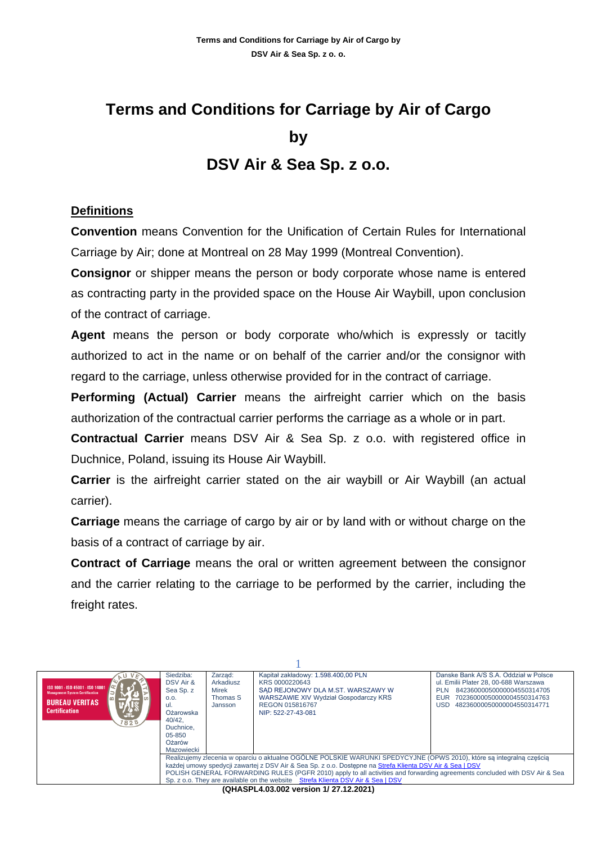# **Terms and Conditions for Carriage by Air of Cargo by DSV Air & Sea Sp. z o.o.**

#### **Definitions**

**Convention** means Convention for the Unification of Certain Rules for International Carriage by Air; done at Montreal on 28 May 1999 (Montreal Convention).

**Consignor** or shipper means the person or body corporate whose name is entered as contracting party in the provided space on the House Air Waybill, upon conclusion of the contract of carriage.

**Agent** means the person or body corporate who/which is expressly or tacitly authorized to act in the name or on behalf of the carrier and/or the consignor with regard to the carriage, unless otherwise provided for in the contract of carriage.

**Performing (Actual) Carrier** means the airfreight carrier which on the basis authorization of the contractual carrier performs the carriage as a whole or in part.

**Contractual Carrier** means DSV Air & Sea Sp. z o.o. with registered office in Duchnice, Poland, issuing its House Air Waybill.

**Carrier** is the airfreight carrier stated on the air waybill or Air Waybill (an actual carrier).

**Carriage** means the carriage of cargo by air or by land with or without charge on the basis of a contract of carriage by air.

**Contract of Carriage** means the oral or written agreement between the consignor and the carrier relating to the carriage to be performed by the carrier, including the freight rates.

| ISO 9001 - ISO 45001 - ISO 14001<br><b>Management System Certification</b><br><b>BUREAU VERITAS</b><br><b>Certification</b><br>5E.<br>828                                                                                                                                                                                                                                                                                                         | Siedziba:<br>DSV Air &<br>Sea Sp. z<br>0.0.<br>ul.<br>Ożarowska<br>40/42.<br>Duchnice.<br>$05 - 850$<br>Ożarów<br>Mazowiecki | Zarząd:<br>Arkadiusz<br>Mirek<br>Thomas S<br>Jansson | Kapitał zakładowy: 1.598.400,00 PLN<br>KRS 0000220643<br>SAD REJONOWY DLA M.ST. WARSZAWY W<br>WARSZAWIE XIV Wydział Gospodarczy KRS<br>REGON 015816767<br>NIP: 522-27-43-081 | Danske Bank A/S S.A. Oddział w Polsce<br>ul. Emilii Plater 28, 00-688 Warszawa<br>84236000050000004550314705<br><b>PLN</b><br><b>EUR</b><br>70236000050000004550314763<br>48236000050000004550314771<br>USD |  |
|---------------------------------------------------------------------------------------------------------------------------------------------------------------------------------------------------------------------------------------------------------------------------------------------------------------------------------------------------------------------------------------------------------------------------------------------------|------------------------------------------------------------------------------------------------------------------------------|------------------------------------------------------|------------------------------------------------------------------------------------------------------------------------------------------------------------------------------|-------------------------------------------------------------------------------------------------------------------------------------------------------------------------------------------------------------|--|
| Realizujemy zlecenia w oparciu o aktualne OGÓLNE POLSKIE WARUNKI SPEDYCYJNE (OPWS 2010), które sa integralna cześcia<br>każdej umowy spedycji zawartej z DSV Air & Sea Sp. z o.o. Dostepne na Strefa Klienta DSV Air & Sea   DSV<br>POLISH GENERAL FORWARDING RULES (PGFR 2010) apply to all activities and forwarding agreements concluded with DSV Air & Sea<br>Sp. z o.o. They are available on the website Strefa Klienta DSV Air & Sea   DSV |                                                                                                                              |                                                      |                                                                                                                                                                              |                                                                                                                                                                                                             |  |
|                                                                                                                                                                                                                                                                                                                                                                                                                                                   |                                                                                                                              |                                                      | $(0.011887)$ A 02.003 version $(1.2712202)$                                                                                                                                  |                                                                                                                                                                                                             |  |

**(QHASPL4.03.002 version 1/ 27.12.2021)**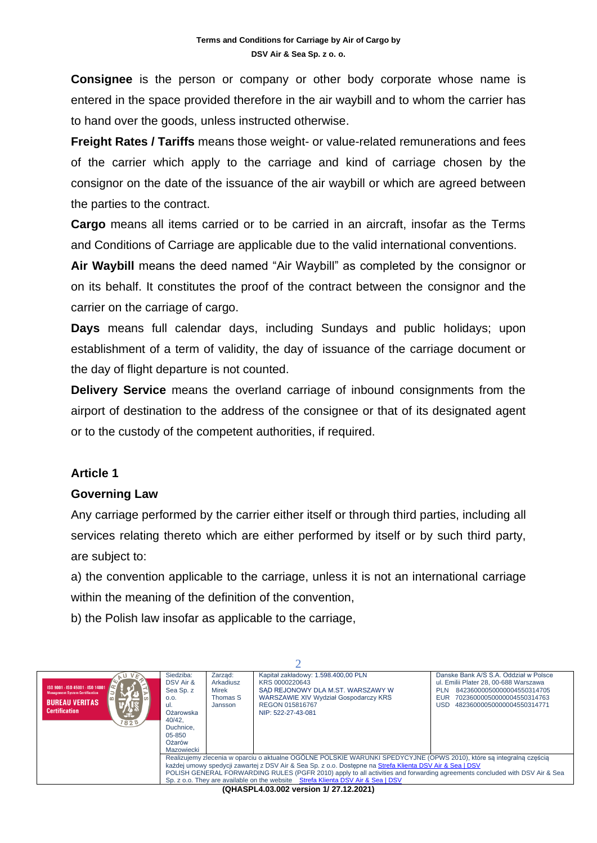**Consignee** is the person or company or other body corporate whose name is entered in the space provided therefore in the air waybill and to whom the carrier has to hand over the goods, unless instructed otherwise.

**Freight Rates / Tariffs** means those weight- or value-related remunerations and fees of the carrier which apply to the carriage and kind of carriage chosen by the consignor on the date of the issuance of the air waybill or which are agreed between the parties to the contract.

**Cargo** means all items carried or to be carried in an aircraft, insofar as the Terms and Conditions of Carriage are applicable due to the valid international conventions.

**Air Waybill** means the deed named "Air Waybill" as completed by the consignor or on its behalf. It constitutes the proof of the contract between the consignor and the carrier on the carriage of cargo.

**Days** means full calendar days, including Sundays and public holidays; upon establishment of a term of validity, the day of issuance of the carriage document or the day of flight departure is not counted.

**Delivery Service** means the overland carriage of inbound consignments from the airport of destination to the address of the consignee or that of its designated agent or to the custody of the competent authorities, if required.

# **Article 1**

#### **Governing Law**

Any carriage performed by the carrier either itself or through third parties, including all services relating thereto which are either performed by itself or by such third party, are subject to:

a) the convention applicable to the carriage, unless it is not an international carriage within the meaning of the definition of the convention,

b) the Polish law insofar as applicable to the carriage,

| ISO 9001 - ISO 45001 - ISO 14001<br><b>Management System Certification</b><br><b>BUREAU VERITAS</b><br><b>Certification</b><br>'ste<br>1828                                                                                                                                                                                                                                                                                                       | Siedziba:<br>DSV Air &<br>Sea Sp. z<br>0.0.<br>-ul.<br>Ożarowska<br>40/42.<br>Duchnice.<br>05-850<br>Ożarów<br>Mazowiecki | Zarzad:<br>Arkadiusz<br>Mirek<br>Thomas S<br>Jansson | Kapitał zakładowy: 1.598.400,00 PLN<br>KRS 0000220643<br>SAD REJONOWY DLA M.ST. WARSZAWY W<br>WARSZAWIE XIV Wydział Gospodarczy KRS<br>REGON 015816767<br>NIP: 522-27-43-081 | Danske Bank A/S S.A. Oddział w Polsce<br>ul. Emilii Plater 28, 00-688 Warszawa<br>84236000050000004550314705<br><b>PLN</b><br>70236000050000004550314763<br>EUR<br>USD.<br>48236000050000004550314771 |  |
|---------------------------------------------------------------------------------------------------------------------------------------------------------------------------------------------------------------------------------------------------------------------------------------------------------------------------------------------------------------------------------------------------------------------------------------------------|---------------------------------------------------------------------------------------------------------------------------|------------------------------------------------------|------------------------------------------------------------------------------------------------------------------------------------------------------------------------------|-------------------------------------------------------------------------------------------------------------------------------------------------------------------------------------------------------|--|
| Realizujemy zlecenia w oparciu o aktualne OGÓLNE POLSKIE WARUNKI SPEDYCYJNE (OPWS 2010), które sa integralna cześcia<br>każdej umowy spedycji zawartej z DSV Air & Sea Sp. z o.o. Dostepne na Strefa Klienta DSV Air & Sea   DSV<br>POLISH GENERAL FORWARDING RULES (PGFR 2010) apply to all activities and forwarding agreements concluded with DSV Air & Sea<br>Sp. z o.o. They are available on the website Strefa Klienta DSV Air & Sea I DSV |                                                                                                                           |                                                      |                                                                                                                                                                              |                                                                                                                                                                                                       |  |
|                                                                                                                                                                                                                                                                                                                                                                                                                                                   |                                                                                                                           |                                                      | (QHASPL4.03.002 version 1/27.12.2021)                                                                                                                                        |                                                                                                                                                                                                       |  |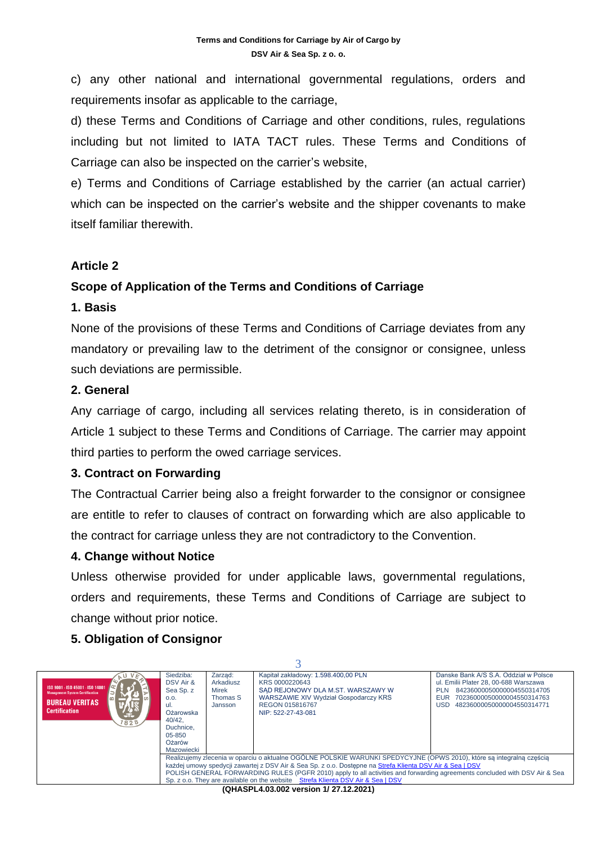c) any other national and international governmental regulations, orders and requirements insofar as applicable to the carriage,

d) these Terms and Conditions of Carriage and other conditions, rules, regulations including but not limited to IATA TACT rules. These Terms and Conditions of Carriage can also be inspected on the carrier's website,

e) Terms and Conditions of Carriage established by the carrier (an actual carrier) which can be inspected on the carrier's website and the shipper covenants to make itself familiar therewith.

# **Article 2**

# **Scope of Application of the Terms and Conditions of Carriage**

#### **1. Basis**

None of the provisions of these Terms and Conditions of Carriage deviates from any mandatory or prevailing law to the detriment of the consignor or consignee, unless such deviations are permissible.

#### **2. General**

Any carriage of cargo, including all services relating thereto, is in consideration of Article 1 subject to these Terms and Conditions of Carriage. The carrier may appoint third parties to perform the owed carriage services.

# **3. Contract on Forwarding**

The Contractual Carrier being also a freight forwarder to the consignor or consignee are entitle to refer to clauses of contract on forwarding which are also applicable to the contract for carriage unless they are not contradictory to the Convention.

# **4. Change without Notice**

Unless otherwise provided for under applicable laws, governmental regulations, orders and requirements, these Terms and Conditions of Carriage are subject to change without prior notice.

# **5. Obligation of Consignor**

| ISO 9001 - ISO 45001 - ISO 14001<br><b>Management System Certification</b><br><b>BUREAU VERITAS</b><br><b>Certification</b><br>JF.<br>1828                                                                                                                                                                                                                                                                                                        | Siedziba:<br>DSV Air &<br>Sea Sp. z<br>0.0.<br>ul.<br>Ożarowska<br>40/42.<br>Duchnice.<br>$05 - 850$<br>Ożarów<br>Mazowiecki | Zarząd:<br>Arkadiusz<br>Mirek<br>Thomas S<br>Jansson | Kapitał zakładowy: 1.598.400,00 PLN<br>KRS 0000220643<br>SAD REJONOWY DLA M.ST. WARSZAWY W<br>WARSZAWIE XIV Wydział Gospodarczy KRS<br>REGON 015816767<br>NIP: 522-27-43-081 | Danske Bank A/S S.A. Oddział w Polsce<br>ul. Emilii Plater 28, 00-688 Warszawa<br>84236000050000004550314705<br><b>PLN</b><br>70236000050000004550314763<br>EUR.<br>48236000050000004550314771<br>USD. |  |
|---------------------------------------------------------------------------------------------------------------------------------------------------------------------------------------------------------------------------------------------------------------------------------------------------------------------------------------------------------------------------------------------------------------------------------------------------|------------------------------------------------------------------------------------------------------------------------------|------------------------------------------------------|------------------------------------------------------------------------------------------------------------------------------------------------------------------------------|--------------------------------------------------------------------------------------------------------------------------------------------------------------------------------------------------------|--|
| Realizujemy zlecenia w oparciu o aktualne OGÓLNE POLSKIE WARUNKI SPEDYCYJNE (OPWS 2010), które są integralną częścią<br>każdej umowy spedycji zawartej z DSV Air & Sea Sp. z o.o. Dostepne na Strefa Klienta DSV Air & Sea   DSV<br>POLISH GENERAL FORWARDING RULES (PGFR 2010) apply to all activities and forwarding agreements concluded with DSV Air & Sea<br>Sp. z o.o. They are available on the website Strefa Klienta DSV Air & Sea   DSV |                                                                                                                              |                                                      |                                                                                                                                                                              |                                                                                                                                                                                                        |  |
|                                                                                                                                                                                                                                                                                                                                                                                                                                                   |                                                                                                                              |                                                      | (QHASPL4.03.002 version 1/27.12.2021)                                                                                                                                        |                                                                                                                                                                                                        |  |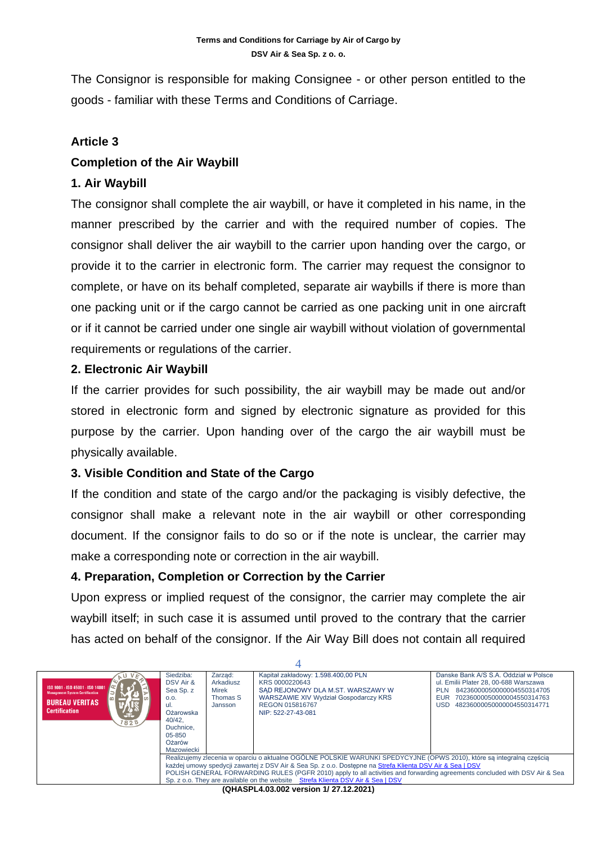The Consignor is responsible for making Consignee - or other person entitled to the goods - familiar with these Terms and Conditions of Carriage.

# **Article 3**

# **Completion of the Air Waybill**

#### **1. Air Waybill**

The consignor shall complete the air waybill, or have it completed in his name, in the manner prescribed by the carrier and with the required number of copies. The consignor shall deliver the air waybill to the carrier upon handing over the cargo, or provide it to the carrier in electronic form. The carrier may request the consignor to complete, or have on its behalf completed, separate air waybills if there is more than one packing unit or if the cargo cannot be carried as one packing unit in one aircraft or if it cannot be carried under one single air waybill without violation of governmental requirements or regulations of the carrier.

#### **2. Electronic Air Waybill**

If the carrier provides for such possibility, the air waybill may be made out and/or stored in electronic form and signed by electronic signature as provided for this purpose by the carrier. Upon handing over of the cargo the air waybill must be physically available.

# **3. Visible Condition and State of the Cargo**

If the condition and state of the cargo and/or the packaging is visibly defective, the consignor shall make a relevant note in the air waybill or other corresponding document. If the consignor fails to do so or if the note is unclear, the carrier may make a corresponding note or correction in the air waybill.

# **4. Preparation, Completion or Correction by the Carrier**

Upon express or implied request of the consignor, the carrier may complete the air waybill itself; in such case it is assumed until proved to the contrary that the carrier has acted on behalf of the consignor. If the Air Way Bill does not contain all required

| ISO 9001 - ISO 45001 - ISO 14001<br><b>Management System Certification</b><br><b>BUREAU VERITAS</b><br><b>Certification</b><br>-t-<br>1828                                                                                                                                                                                                                                                                                                        | Siedziba:<br>DSV Air &<br>Sea Sp. z<br>0.0.<br>-ul.<br>Ożarowska<br>40/42.<br>Duchnice.<br>$05 - 850$<br>Ożarów<br>Mazowiecki | Zarzad:<br>Arkadiusz<br>Mirek<br>Thomas S<br>Jansson | Kapitał zakładowy: 1.598.400.00 PLN<br>KRS 0000220643<br>SAD REJONOWY DLA M.ST. WARSZAWY W<br>WARSZAWIE XIV Wydział Gospodarczy KRS<br>REGON 015816767<br>NIP: 522-27-43-081 | Danske Bank A/S S.A. Oddział w Polsce<br>ul. Emilii Plater 28, 00-688 Warszawa<br>84236000050000004550314705<br><b>PLN</b><br>70236000050000004550314763<br>EUR<br>48236000050000004550314771<br>USD |  |
|---------------------------------------------------------------------------------------------------------------------------------------------------------------------------------------------------------------------------------------------------------------------------------------------------------------------------------------------------------------------------------------------------------------------------------------------------|-------------------------------------------------------------------------------------------------------------------------------|------------------------------------------------------|------------------------------------------------------------------------------------------------------------------------------------------------------------------------------|------------------------------------------------------------------------------------------------------------------------------------------------------------------------------------------------------|--|
| Realizujemy zlecenia w oparciu o aktualne OGÓLNE POLSKIE WARUNKI SPEDYCYJNE (OPWS 2010), które sa integralna częścia<br>każdej umowy spedycji zawartej z DSV Air & Sea Sp. z o.o. Dostepne na Strefa Klienta DSV Air & Sea   DSV<br>POLISH GENERAL FORWARDING RULES (PGFR 2010) apply to all activities and forwarding agreements concluded with DSV Air & Sea<br>Sp. z o.o. They are available on the website Strefa Klienta DSV Air & Sea I DSV |                                                                                                                               |                                                      |                                                                                                                                                                              |                                                                                                                                                                                                      |  |
|                                                                                                                                                                                                                                                                                                                                                                                                                                                   |                                                                                                                               |                                                      |                                                                                                                                                                              |                                                                                                                                                                                                      |  |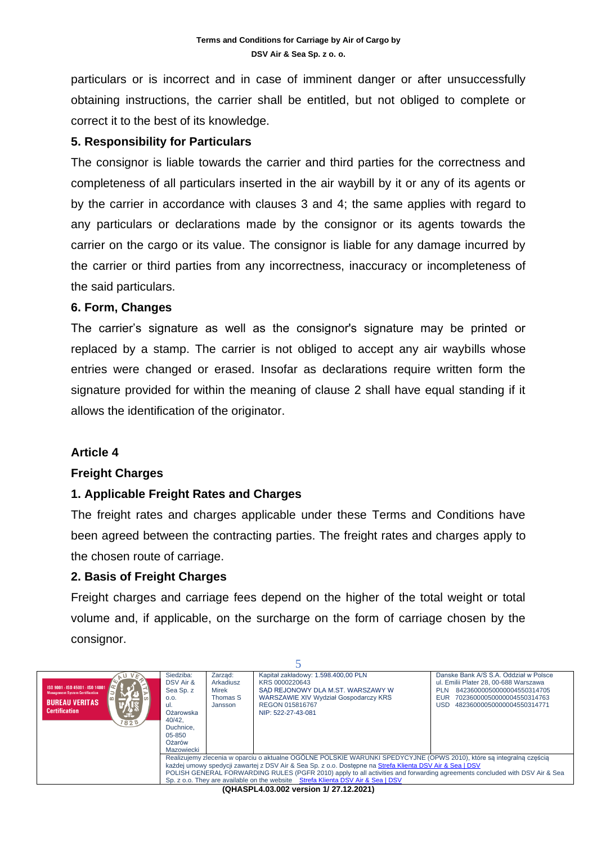particulars or is incorrect and in case of imminent danger or after unsuccessfully obtaining instructions, the carrier shall be entitled, but not obliged to complete or correct it to the best of its knowledge.

#### **5. Responsibility for Particulars**

The consignor is liable towards the carrier and third parties for the correctness and completeness of all particulars inserted in the air waybill by it or any of its agents or by the carrier in accordance with clauses 3 and 4; the same applies with regard to any particulars or declarations made by the consignor or its agents towards the carrier on the cargo or its value. The consignor is liable for any damage incurred by the carrier or third parties from any incorrectness, inaccuracy or incompleteness of the said particulars.

#### **6. Form, Changes**

The carrier's signature as well as the consignor's signature may be printed or replaced by a stamp. The carrier is not obliged to accept any air waybills whose entries were changed or erased. Insofar as declarations require written form the signature provided for within the meaning of clause 2 shall have equal standing if it allows the identification of the originator.

# **Article 4**

#### **Freight Charges**

# **1. Applicable Freight Rates and Charges**

The freight rates and charges applicable under these Terms and Conditions have been agreed between the contracting parties. The freight rates and charges apply to the chosen route of carriage.

# **2. Basis of Freight Charges**

Freight charges and carriage fees depend on the higher of the total weight or total volume and, if applicable, on the surcharge on the form of carriage chosen by the consignor.

| ISO 9001 - ISO 45001 - ISO 14001<br><b>Management System Certification</b><br><b>BUREAU VERITAS</b><br><b>Certification</b><br>1828 | Siedziba:<br>DSV Air &<br>Sea Sp. z<br>0.0.<br>-ul.<br>Ożarowska<br>40/42.<br>Duchnice.<br>$05 - 850$<br>Ożarów<br>Mazowiecki                                                                                                                                                                                                                                                                                                                     | Zarzad:<br>Arkadiusz<br>Mirek<br>Thomas S<br>Jansson | Kapitał zakładowy: 1.598.400,00 PLN<br>KRS 0000220643<br>SAD REJONOWY DLA M.ST. WARSZAWY W<br><b>WARSZAWIE XIV Wydział Gospodarczy KRS</b><br>REGON 015816767<br>NIP: 522-27-43-081 | Danske Bank A/S S.A. Oddział w Polsce<br>ul. Emilii Plater 28, 00-688 Warszawa<br>84236000050000004550314705<br><b>PLN</b><br>70236000050000004550314763<br><b>EUR</b><br>48236000050000004550314771<br>USD |  |
|-------------------------------------------------------------------------------------------------------------------------------------|---------------------------------------------------------------------------------------------------------------------------------------------------------------------------------------------------------------------------------------------------------------------------------------------------------------------------------------------------------------------------------------------------------------------------------------------------|------------------------------------------------------|-------------------------------------------------------------------------------------------------------------------------------------------------------------------------------------|-------------------------------------------------------------------------------------------------------------------------------------------------------------------------------------------------------------|--|
|                                                                                                                                     | Realizujemy zlecenia w oparciu o aktualne OGÓLNE POLSKIE WARUNKI SPEDYCYJNE (OPWS 2010), które są integralną częścią<br>każdej umowy spedycji zawartej z DSV Air & Sea Sp. z o.o. Dostepne na Strefa Klienta DSV Air & Sea   DSV<br>POLISH GENERAL FORWARDING RULES (PGFR 2010) apply to all activities and forwarding agreements concluded with DSV Air & Sea<br>Sp. z o.o. They are available on the website Strefa Klienta DSV Air & Sea   DSV |                                                      |                                                                                                                                                                                     |                                                                                                                                                                                                             |  |
|                                                                                                                                     |                                                                                                                                                                                                                                                                                                                                                                                                                                                   |                                                      | (OHASDL 4.03.002 version 1/ 27.12.2021)                                                                                                                                             |                                                                                                                                                                                                             |  |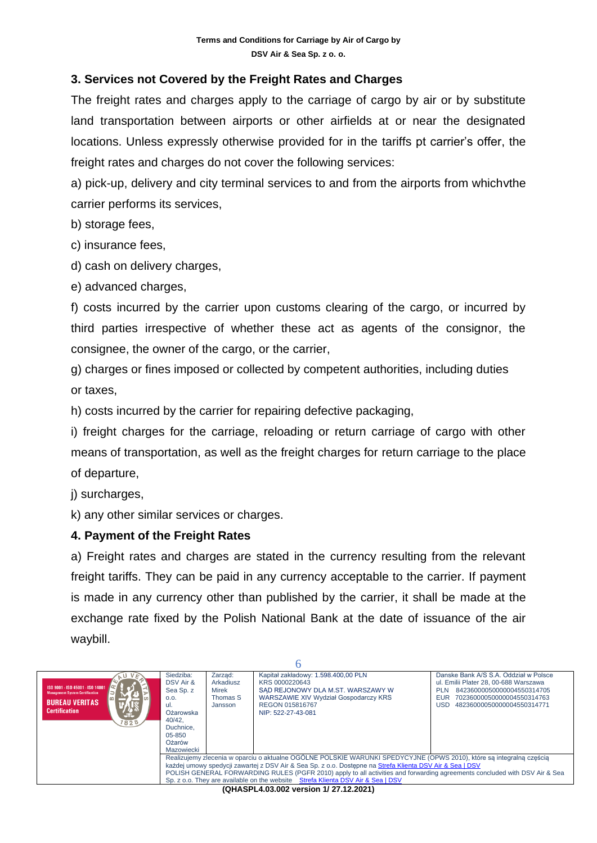# **3. Services not Covered by the Freight Rates and Charges**

The freight rates and charges apply to the carriage of cargo by air or by substitute land transportation between airports or other airfields at or near the designated locations. Unless expressly otherwise provided for in the tariffs pt carrier's offer, the freight rates and charges do not cover the following services:

a) pick-up, delivery and city terminal services to and from the airports from whichvthe carrier performs its services,

b) storage fees,

c) insurance fees,

d) cash on delivery charges,

e) advanced charges,

f) costs incurred by the carrier upon customs clearing of the cargo, or incurred by third parties irrespective of whether these act as agents of the consignor, the consignee, the owner of the cargo, or the carrier,

g) charges or fines imposed or collected by competent authorities, including duties or taxes,

h) costs incurred by the carrier for repairing defective packaging,

i) freight charges for the carriage, reloading or return carriage of cargo with other means of transportation, as well as the freight charges for return carriage to the place of departure,

j) surcharges,

k) any other similar services or charges.

#### **4. Payment of the Freight Rates**

a) Freight rates and charges are stated in the currency resulting from the relevant freight tariffs. They can be paid in any currency acceptable to the carrier. If payment is made in any currency other than published by the carrier, it shall be made at the exchange rate fixed by the Polish National Bank at the date of issuance of the air waybill.

| ISO 9001 - ISO 45001 - ISO 14001<br><b>Management System Certification</b><br>$\omega$<br><b>BUREAU VERITAS</b><br><b>Certification</b><br>ਚੱਦ<br>1828 | Siedziba:<br>DSV Air &<br>Sea Sp. z<br>O.O.<br>-ul.<br>Ożarowska<br>40/42.<br>Duchnice.<br>$05 - 850$<br>Ożarów<br>Mazowiecki                                                                                                                                                                                                                                                                                                                     | Zarzad:<br>Arkadiusz<br>Mirek<br>Thomas S<br>Jansson | Kapitał zakładowy: 1.598.400,00 PLN<br>KRS 0000220643<br>SAD REJONOWY DLA M.ST. WARSZAWY W<br><b>WARSZAWIE XIV Wydział Gospodarczy KRS</b><br>REGON 015816767<br>NIP: 522-27-43-081 | Danske Bank A/S S.A. Oddział w Polsce<br>ul. Emilii Plater 28, 00-688 Warszawa<br>84236000050000004550314705<br><b>PLN</b><br>EUR<br>70236000050000004550314763<br>48236000050000004550314771<br>USD. |  |  |
|--------------------------------------------------------------------------------------------------------------------------------------------------------|---------------------------------------------------------------------------------------------------------------------------------------------------------------------------------------------------------------------------------------------------------------------------------------------------------------------------------------------------------------------------------------------------------------------------------------------------|------------------------------------------------------|-------------------------------------------------------------------------------------------------------------------------------------------------------------------------------------|-------------------------------------------------------------------------------------------------------------------------------------------------------------------------------------------------------|--|--|
|                                                                                                                                                        | Realizujemy zlecenia w oparciu o aktualne OGÓLNE POLSKIE WARUNKI SPEDYCYJNE (OPWS 2010), które są integralną częścią<br>każdej umowy spedycji zawartej z DSV Air & Sea Sp. z o.o. Dostepne na Strefa Klienta DSV Air & Sea   DSV<br>POLISH GENERAL FORWARDING RULES (PGFR 2010) apply to all activities and forwarding agreements concluded with DSV Air & Sea<br>Sp. z o.o. They are available on the website Strefa Klienta DSV Air & Sea   DSV |                                                      |                                                                                                                                                                                     |                                                                                                                                                                                                       |  |  |
|                                                                                                                                                        |                                                                                                                                                                                                                                                                                                                                                                                                                                                   |                                                      | (OHASDL 4.03.002 version 1/ 27.12.2021)                                                                                                                                             |                                                                                                                                                                                                       |  |  |

**(QHASPL4.03.002 version 1/ 27.12.2021)**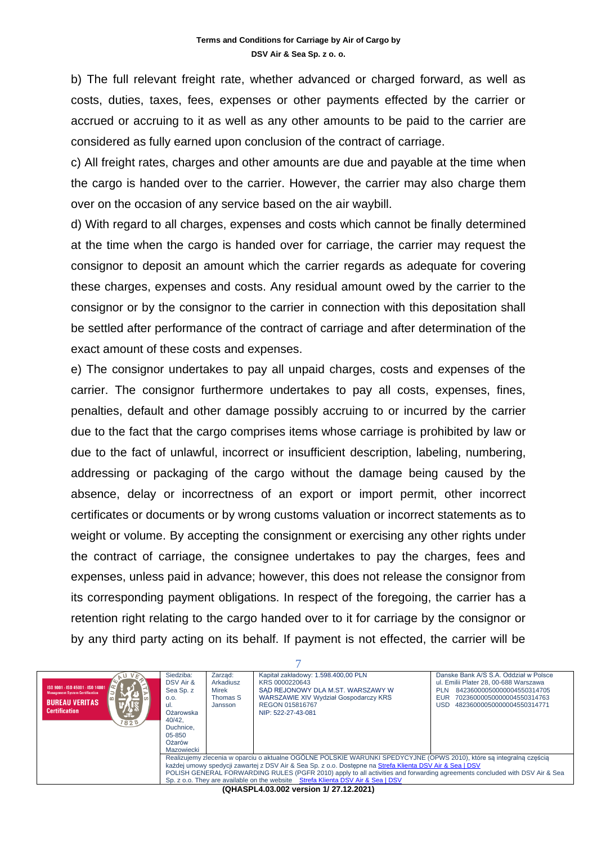b) The full relevant freight rate, whether advanced or charged forward, as well as costs, duties, taxes, fees, expenses or other payments effected by the carrier or accrued or accruing to it as well as any other amounts to be paid to the carrier are considered as fully earned upon conclusion of the contract of carriage.

c) All freight rates, charges and other amounts are due and payable at the time when the cargo is handed over to the carrier. However, the carrier may also charge them over on the occasion of any service based on the air waybill.

d) With regard to all charges, expenses and costs which cannot be finally determined at the time when the cargo is handed over for carriage, the carrier may request the consignor to deposit an amount which the carrier regards as adequate for covering these charges, expenses and costs. Any residual amount owed by the carrier to the consignor or by the consignor to the carrier in connection with this depositation shall be settled after performance of the contract of carriage and after determination of the exact amount of these costs and expenses.

e) The consignor undertakes to pay all unpaid charges, costs and expenses of the carrier. The consignor furthermore undertakes to pay all costs, expenses, fines, penalties, default and other damage possibly accruing to or incurred by the carrier due to the fact that the cargo comprises items whose carriage is prohibited by law or due to the fact of unlawful, incorrect or insufficient description, labeling, numbering, addressing or packaging of the cargo without the damage being caused by the absence, delay or incorrectness of an export or import permit, other incorrect certificates or documents or by wrong customs valuation or incorrect statements as to weight or volume. By accepting the consignment or exercising any other rights under the contract of carriage, the consignee undertakes to pay the charges, fees and expenses, unless paid in advance; however, this does not release the consignor from its corresponding payment obligations. In respect of the foregoing, the carrier has a retention right relating to the cargo handed over to it for carriage by the consignor or by any third party acting on its behalf. If payment is not effected, the carrier will be

| ISO 9001 - ISO 45001 - ISO 14001<br><b>Management System Certification</b><br><b>BUREAU VERITAS</b><br><b>Certification</b><br>'ste<br>828                                                                                                                                                                                                                                                                                                        | Siedziba:<br>DSV Air &<br>Sea Sp. z<br>0.0.<br>ul.<br>Ożarowska<br>40/42.<br>Duchnice.<br>$05 - 850$<br>Ożarów<br>Mazowiecki | Zarząd:<br>Arkadiusz<br>Mirek<br>Thomas S<br>Jansson | Kapitał zakładowy: 1.598.400.00 PLN<br>KRS 0000220643<br>SAD REJONOWY DLA M.ST. WARSZAWY W<br>WARSZAWIE XIV Wydział Gospodarczy KRS<br>REGON 015816767<br>NIP: 522-27-43-081 | Danske Bank A/S S.A. Oddział w Polsce<br>ul. Emilii Plater 28, 00-688 Warszawa<br>84236000050000004550314705<br>PI N<br>70236000050000004550314763<br>EUR<br>USD<br>48236000050000004550314771 |  |
|---------------------------------------------------------------------------------------------------------------------------------------------------------------------------------------------------------------------------------------------------------------------------------------------------------------------------------------------------------------------------------------------------------------------------------------------------|------------------------------------------------------------------------------------------------------------------------------|------------------------------------------------------|------------------------------------------------------------------------------------------------------------------------------------------------------------------------------|------------------------------------------------------------------------------------------------------------------------------------------------------------------------------------------------|--|
| Realizujemy zlecenia w oparciu o aktualne OGÓLNE POLSKIE WARUNKI SPEDYCYJNE (OPWS 2010), które są integralną częścią<br>każdej umowy spedycji zawartej z DSV Air & Sea Sp. z o.o. Dostepne na Strefa Klienta DSV Air & Sea   DSV<br>POLISH GENERAL FORWARDING RULES (PGFR 2010) apply to all activities and forwarding agreements concluded with DSV Air & Sea<br>Sp. z o.o. They are available on the website Strefa Klienta DSV Air & Sea   DSV |                                                                                                                              |                                                      |                                                                                                                                                                              |                                                                                                                                                                                                |  |
|                                                                                                                                                                                                                                                                                                                                                                                                                                                   |                                                                                                                              |                                                      | (OHASDL 4.03.002 version 1/ 27.12.2021)                                                                                                                                      |                                                                                                                                                                                                |  |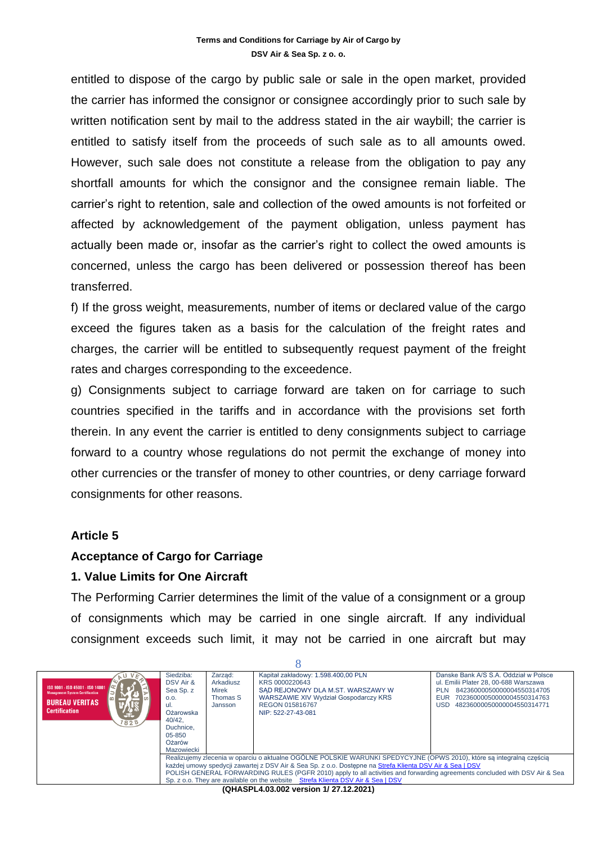entitled to dispose of the cargo by public sale or sale in the open market, provided the carrier has informed the consignor or consignee accordingly prior to such sale by written notification sent by mail to the address stated in the air waybill; the carrier is entitled to satisfy itself from the proceeds of such sale as to all amounts owed. However, such sale does not constitute a release from the obligation to pay any shortfall amounts for which the consignor and the consignee remain liable. The carrier's right to retention, sale and collection of the owed amounts is not forfeited or affected by acknowledgement of the payment obligation, unless payment has actually been made or, insofar as the carrier's right to collect the owed amounts is concerned, unless the cargo has been delivered or possession thereof has been transferred.

f) If the gross weight, measurements, number of items or declared value of the cargo exceed the figures taken as a basis for the calculation of the freight rates and charges, the carrier will be entitled to subsequently request payment of the freight rates and charges corresponding to the exceedence.

g) Consignments subject to carriage forward are taken on for carriage to such countries specified in the tariffs and in accordance with the provisions set forth therein. In any event the carrier is entitled to deny consignments subject to carriage forward to a country whose regulations do not permit the exchange of money into other currencies or the transfer of money to other countries, or deny carriage forward consignments for other reasons.

# **Article 5**

#### **Acceptance of Cargo for Carriage**

#### **1. Value Limits for One Aircraft**

The Performing Carrier determines the limit of the value of a consignment or a group of consignments which may be carried in one single aircraft. If any individual consignment exceeds such limit, it may not be carried in one aircraft but may

 $\overline{Q}$ 

| ISO 9001 - ISO 45001 - ISO 14001<br><b>Management System Certification</b><br><b>BUREAU VERITAS</b><br><b>Certification</b><br><b>Ste</b><br>1828                                                                                                                                                                                                                                                                                                 | Siedziba:<br>DSV Air &<br>Sea Sp. z<br>0.0.<br>-ul.<br>Ożarowska<br>40/42.<br>Duchnice.<br>$05 - 850$<br>Ożarów<br>Mazowiecki | Zarzad:<br>Arkadiusz<br>Mirek<br>Thomas S<br>Jansson | Kapitał zakładowy: 1.598.400,00 PLN<br>KRS 0000220643<br>SAD REJONOWY DLA M.ST. WARSZAWY W<br>WARSZAWIE XIV Wydział Gospodarczy KRS<br>REGON 015816767<br>NIP: 522-27-43-081 | Danske Bank A/S S.A. Oddział w Polsce<br>ul. Emilii Plater 28, 00-688 Warszawa<br>84236000050000004550314705<br><b>PLN</b><br><b>EUR</b><br>70236000050000004550314763<br>48236000050000004550314771<br>USD. |  |
|---------------------------------------------------------------------------------------------------------------------------------------------------------------------------------------------------------------------------------------------------------------------------------------------------------------------------------------------------------------------------------------------------------------------------------------------------|-------------------------------------------------------------------------------------------------------------------------------|------------------------------------------------------|------------------------------------------------------------------------------------------------------------------------------------------------------------------------------|--------------------------------------------------------------------------------------------------------------------------------------------------------------------------------------------------------------|--|
| Realizujemy zlecenia w oparciu o aktualne OGÓLNE POLSKIE WARUNKI SPEDYCYJNE (OPWS 2010), które są integralną częścią<br>każdej umowy spedycji zawartej z DSV Air & Sea Sp. z o.o. Dostepne na Strefa Klienta DSV Air & Sea   DSV<br>POLISH GENERAL FORWARDING RULES (PGFR 2010) apply to all activities and forwarding agreements concluded with DSV Air & Sea<br>Sp. z o.o. They are available on the website Strefa Klienta DSV Air & Sea I DSV |                                                                                                                               |                                                      |                                                                                                                                                                              |                                                                                                                                                                                                              |  |
|                                                                                                                                                                                                                                                                                                                                                                                                                                                   |                                                                                                                               |                                                      | $(0.11A \cap D1 A \cap 2A \cap D2 \ldots A1 \cap 7 A2 \cap 2A)$                                                                                                              |                                                                                                                                                                                                              |  |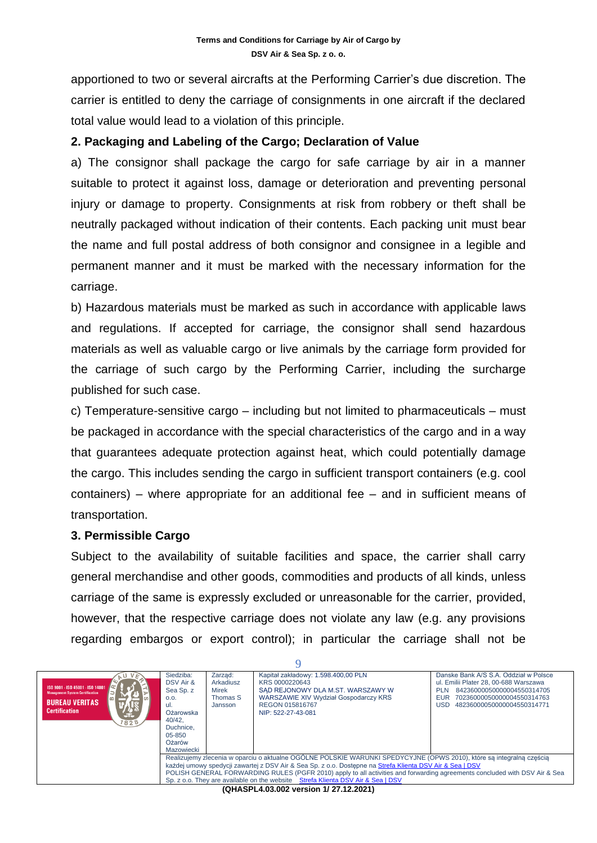apportioned to two or several aircrafts at the Performing Carrier's due discretion. The carrier is entitled to deny the carriage of consignments in one aircraft if the declared total value would lead to a violation of this principle.

#### **2. Packaging and Labeling of the Cargo; Declaration of Value**

a) The consignor shall package the cargo for safe carriage by air in a manner suitable to protect it against loss, damage or deterioration and preventing personal injury or damage to property. Consignments at risk from robbery or theft shall be neutrally packaged without indication of their contents. Each packing unit must bear the name and full postal address of both consignor and consignee in a legible and permanent manner and it must be marked with the necessary information for the carriage.

b) Hazardous materials must be marked as such in accordance with applicable laws and regulations. If accepted for carriage, the consignor shall send hazardous materials as well as valuable cargo or live animals by the carriage form provided for the carriage of such cargo by the Performing Carrier, including the surcharge published for such case.

c) Temperature-sensitive cargo – including but not limited to pharmaceuticals – must be packaged in accordance with the special characteristics of the cargo and in a way that guarantees adequate protection against heat, which could potentially damage the cargo. This includes sending the cargo in sufficient transport containers (e.g. cool containers) – where appropriate for an additional fee – and in sufficient means of transportation.

#### **3. Permissible Cargo**

Subject to the availability of suitable facilities and space, the carrier shall carry general merchandise and other goods, commodities and products of all kinds, unless carriage of the same is expressly excluded or unreasonable for the carrier, provided, however, that the respective carriage does not violate any law (e.g. any provisions regarding embargos or export control); in particular the carriage shall not be

 $\Omega$ 

| ISO 9001 - ISO 45001 - ISO 14001<br><b>Management System Certification</b><br><b>BUREAU VERITAS</b><br><b>Certification</b><br>'ste<br>1828                                                                                                                                                                                                                                                                                                       | Siedziba:<br>DSV Air &<br>Sea Sp. z<br>0.0.<br>-ul.<br>Ożarowska<br>40/42.<br>Duchnice.<br>$05 - 850$<br>Ożarów<br>Mazowiecki | Zarzad:<br>Arkadiusz<br>Mirek<br>Thomas S<br>Jansson | Kapitał zakładowy: 1.598.400,00 PLN<br>KRS 0000220643<br>SAD REJONOWY DLA M.ST. WARSZAWY W<br><b>WARSZAWIE XIV Wydział Gospodarczy KRS</b><br>REGON 015816767<br>NIP: 522-27-43-081 | Danske Bank A/S S.A. Oddział w Polsce<br>ul. Emilii Plater 28, 00-688 Warszawa<br>84236000050000004550314705<br><b>PLN</b><br>70236000050000004550314763<br><b>EUR</b><br>48236000050000004550314771<br>USD |  |
|---------------------------------------------------------------------------------------------------------------------------------------------------------------------------------------------------------------------------------------------------------------------------------------------------------------------------------------------------------------------------------------------------------------------------------------------------|-------------------------------------------------------------------------------------------------------------------------------|------------------------------------------------------|-------------------------------------------------------------------------------------------------------------------------------------------------------------------------------------|-------------------------------------------------------------------------------------------------------------------------------------------------------------------------------------------------------------|--|
| Realizujemy zlecenia w oparciu o aktualne OGÓLNE POLSKIE WARUNKI SPEDYCYJNE (OPWS 2010), które są integralną częścią<br>każdej umowy spedycji zawartej z DSV Air & Sea Sp. z o.o. Dostepne na Strefa Klienta DSV Air & Sea   DSV<br>POLISH GENERAL FORWARDING RULES (PGFR 2010) apply to all activities and forwarding agreements concluded with DSV Air & Sea<br>Sp. z o.o. They are available on the website Strefa Klienta DSV Air & Sea I DSV |                                                                                                                               |                                                      |                                                                                                                                                                                     |                                                                                                                                                                                                             |  |
|                                                                                                                                                                                                                                                                                                                                                                                                                                                   |                                                                                                                               |                                                      |                                                                                                                                                                                     |                                                                                                                                                                                                             |  |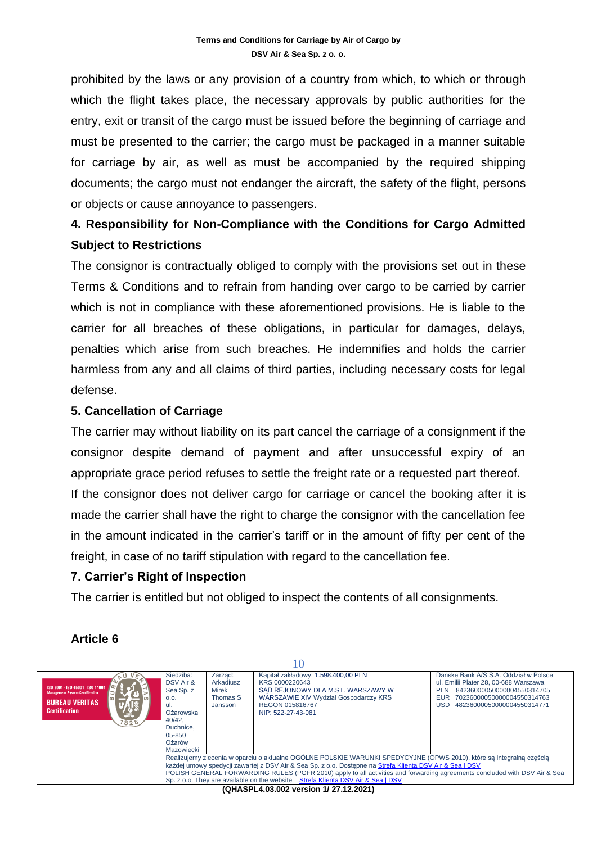prohibited by the laws or any provision of a country from which, to which or through which the flight takes place, the necessary approvals by public authorities for the entry, exit or transit of the cargo must be issued before the beginning of carriage and must be presented to the carrier; the cargo must be packaged in a manner suitable for carriage by air, as well as must be accompanied by the required shipping documents; the cargo must not endanger the aircraft, the safety of the flight, persons or objects or cause annoyance to passengers.

# **4. Responsibility for Non-Compliance with the Conditions for Cargo Admitted Subject to Restrictions**

The consignor is contractually obliged to comply with the provisions set out in these Terms & Conditions and to refrain from handing over cargo to be carried by carrier which is not in compliance with these aforementioned provisions. He is liable to the carrier for all breaches of these obligations, in particular for damages, delays, penalties which arise from such breaches. He indemnifies and holds the carrier harmless from any and all claims of third parties, including necessary costs for legal defense.

# **5. Cancellation of Carriage**

The carrier may without liability on its part cancel the carriage of a consignment if the consignor despite demand of payment and after unsuccessful expiry of an appropriate grace period refuses to settle the freight rate or a requested part thereof. If the consignor does not deliver cargo for carriage or cancel the booking after it is made the carrier shall have the right to charge the consignor with the cancellation fee in the amount indicated in the carrier's tariff or in the amount of fifty per cent of the freight, in case of no tariff stipulation with regard to the cancellation fee.

# **7. Carrier's Right of Inspection**

The carrier is entitled but not obliged to inspect the contents of all consignments.

# **Article 6**

| 1 V J                                                                                                                                         |                                                                                                                                                                                                                                                                                                                                                                                                                                                   |                                                      |                                                                                                                                                                              |                                                                                                                                                                                               |  |
|-----------------------------------------------------------------------------------------------------------------------------------------------|---------------------------------------------------------------------------------------------------------------------------------------------------------------------------------------------------------------------------------------------------------------------------------------------------------------------------------------------------------------------------------------------------------------------------------------------------|------------------------------------------------------|------------------------------------------------------------------------------------------------------------------------------------------------------------------------------|-----------------------------------------------------------------------------------------------------------------------------------------------------------------------------------------------|--|
| ISO 9001 - ISO 45001 - ISO 14001<br><b>Management System Certification</b><br>l co l<br><b>BUREAU VERITAS</b><br><b>Certification</b><br>1828 | Siedziba:<br>DSV Air &<br>Sea Sp. z<br>O.O.<br>-ul.<br>Ożarowska<br>40/42.<br>Duchnice.<br>$05 - 850$<br>Ożarów<br>Mazowiecki                                                                                                                                                                                                                                                                                                                     | Zarzad:<br>Arkadiusz<br>Mirek<br>Thomas S<br>Jansson | Kapitał zakładowy: 1.598.400,00 PLN<br>KRS 0000220643<br>SAD REJONOWY DLA M.ST. WARSZAWY W<br>WARSZAWIE XIV Wydział Gospodarczy KRS<br>REGON 015816767<br>NIP: 522-27-43-081 | Danske Bank A/S S.A. Oddział w Polsce<br>ul. Emilii Plater 28, 00-688 Warszawa<br>84236000050000004550314705<br>PLN<br>70236000050000004550314763<br>EUR<br>48236000050000004550314771<br>USD |  |
|                                                                                                                                               | Realizujemy zlecenia w oparciu o aktualne OGÓLNE POLSKIE WARUNKI SPEDYCYJNE (OPWS 2010), które są integralną częścią<br>każdej umowy spedycji zawartej z DSV Air & Sea Sp. z o.o. Dostepne na Strefa Klienta DSV Air & Sea   DSV<br>POLISH GENERAL FORWARDING RULES (PGFR 2010) apply to all activities and forwarding agreements concluded with DSV Air & Sea<br>Sp. z o.o. They are available on the website Strefa Klienta DSV Air & Sea   DSV |                                                      |                                                                                                                                                                              |                                                                                                                                                                                               |  |
|                                                                                                                                               |                                                                                                                                                                                                                                                                                                                                                                                                                                                   |                                                      | (OHASPLA 03.002 version 1/ 27.12.2021)                                                                                                                                       |                                                                                                                                                                                               |  |

 $1<sub>0</sub>$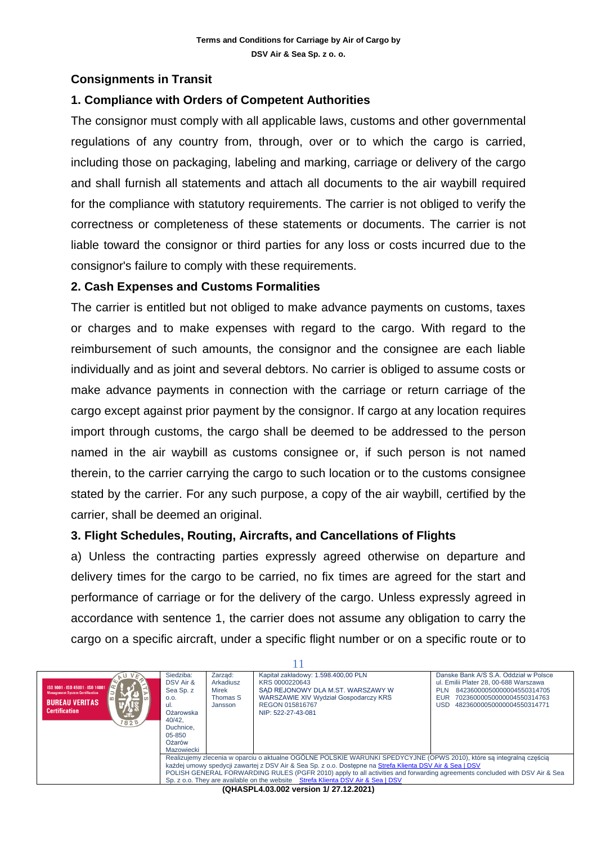# **Consignments in Transit**

# **1. Compliance with Orders of Competent Authorities**

The consignor must comply with all applicable laws, customs and other governmental regulations of any country from, through, over or to which the cargo is carried, including those on packaging, labeling and marking, carriage or delivery of the cargo and shall furnish all statements and attach all documents to the air waybill required for the compliance with statutory requirements. The carrier is not obliged to verify the correctness or completeness of these statements or documents. The carrier is not liable toward the consignor or third parties for any loss or costs incurred due to the consignor's failure to comply with these requirements.

# **2. Cash Expenses and Customs Formalities**

The carrier is entitled but not obliged to make advance payments on customs, taxes or charges and to make expenses with regard to the cargo. With regard to the reimbursement of such amounts, the consignor and the consignee are each liable individually and as joint and several debtors. No carrier is obliged to assume costs or make advance payments in connection with the carriage or return carriage of the cargo except against prior payment by the consignor. If cargo at any location requires import through customs, the cargo shall be deemed to be addressed to the person named in the air waybill as customs consignee or, if such person is not named therein, to the carrier carrying the cargo to such location or to the customs consignee stated by the carrier. For any such purpose, a copy of the air waybill, certified by the carrier, shall be deemed an original.

# **3. Flight Schedules, Routing, Aircrafts, and Cancellations of Flights**

a) Unless the contracting parties expressly agreed otherwise on departure and delivery times for the cargo to be carried, no fix times are agreed for the start and performance of carriage or for the delivery of the cargo. Unless expressly agreed in accordance with sentence 1, the carrier does not assume any obligation to carry the cargo on a specific aircraft, under a specific flight number or on a specific route or to

| ISO 9001 - ISO 45001 - ISO 14001<br><b>Management System Certification</b><br><b>BUREAU VERITAS</b><br><b>Certification</b><br>ar a<br>1828                                                                                                                                                                                                                                                                                                       | Siedziba:<br>DSV Air &<br>Sea Sp. z<br>0.0.<br>ul.<br>Ożarowska<br>40/42.<br>Duchnice.<br>$05 - 850$<br>Ożarów<br>Mazowiecki | Zarzad:<br>Arkadiusz<br>Mirek<br>Thomas S<br>Jansson | Kapitał zakładowy: 1.598.400,00 PLN<br>KRS 0000220643<br>SAD REJONOWY DLA M.ST. WARSZAWY W<br><b>WARSZAWIE XIV Wydział Gospodarczy KRS</b><br>REGON 015816767<br>NIP: 522-27-43-081 | Danske Bank A/S S.A. Oddział w Polsce<br>ul. Emilii Plater 28, 00-688 Warszawa<br>84236000050000004550314705<br><b>PLN</b><br>70236000050000004550314763<br>EUR<br>48236000050000004550314771<br>USD |  |
|---------------------------------------------------------------------------------------------------------------------------------------------------------------------------------------------------------------------------------------------------------------------------------------------------------------------------------------------------------------------------------------------------------------------------------------------------|------------------------------------------------------------------------------------------------------------------------------|------------------------------------------------------|-------------------------------------------------------------------------------------------------------------------------------------------------------------------------------------|------------------------------------------------------------------------------------------------------------------------------------------------------------------------------------------------------|--|
| Realizujemy zlecenia w oparciu o aktualne OGÓLNE POLSKIE WARUNKI SPEDYCYJNE (OPWS 2010), które są integralną częścią<br>każdej umowy spedycji zawartej z DSV Air & Sea Sp. z o.o. Dostepne na Strefa Klienta DSV Air & Sea   DSV<br>POLISH GENERAL FORWARDING RULES (PGFR 2010) apply to all activities and forwarding agreements concluded with DSV Air & Sea<br>Sp. z o.o. They are available on the website Strefa Klienta DSV Air & Sea I DSV |                                                                                                                              |                                                      |                                                                                                                                                                                     |                                                                                                                                                                                                      |  |
|                                                                                                                                                                                                                                                                                                                                                                                                                                                   |                                                                                                                              |                                                      | $10118$ CDL $10200$                                                                                                                                                                 |                                                                                                                                                                                                      |  |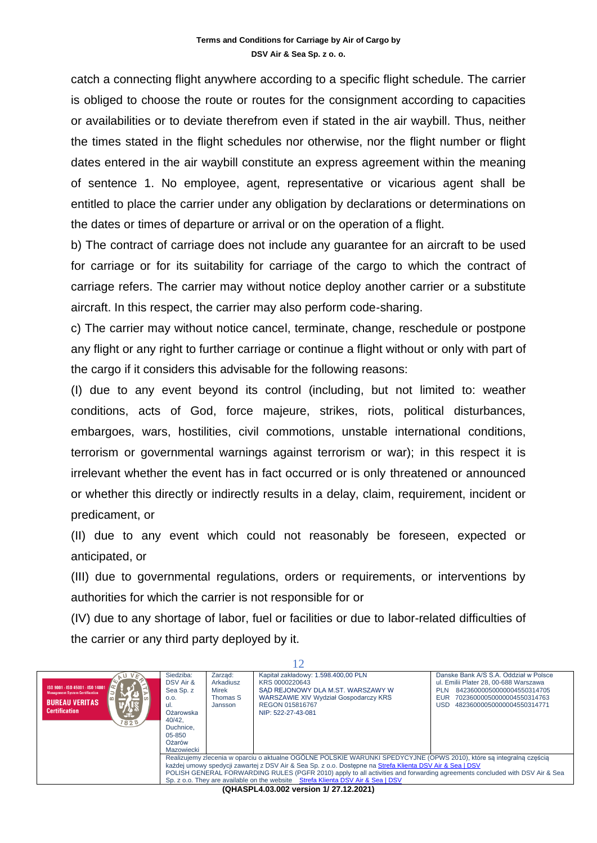catch a connecting flight anywhere according to a specific flight schedule. The carrier is obliged to choose the route or routes for the consignment according to capacities or availabilities or to deviate therefrom even if stated in the air waybill. Thus, neither the times stated in the flight schedules nor otherwise, nor the flight number or flight dates entered in the air waybill constitute an express agreement within the meaning of sentence 1. No employee, agent, representative or vicarious agent shall be entitled to place the carrier under any obligation by declarations or determinations on the dates or times of departure or arrival or on the operation of a flight.

b) The contract of carriage does not include any guarantee for an aircraft to be used for carriage or for its suitability for carriage of the cargo to which the contract of carriage refers. The carrier may without notice deploy another carrier or a substitute aircraft. In this respect, the carrier may also perform code-sharing.

c) The carrier may without notice cancel, terminate, change, reschedule or postpone any flight or any right to further carriage or continue a flight without or only with part of the cargo if it considers this advisable for the following reasons:

(I) due to any event beyond its control (including, but not limited to: weather conditions, acts of God, force majeure, strikes, riots, political disturbances, embargoes, wars, hostilities, civil commotions, unstable international conditions, terrorism or governmental warnings against terrorism or war); in this respect it is irrelevant whether the event has in fact occurred or is only threatened or announced or whether this directly or indirectly results in a delay, claim, requirement, incident or predicament, or

(II) due to any event which could not reasonably be foreseen, expected or anticipated, or

(III) due to governmental regulations, orders or requirements, or interventions by authorities for which the carrier is not responsible for or

(IV) due to any shortage of labor, fuel or facilities or due to labor-related difficulties of the carrier or any third party deployed by it.

12

| ISO 9001 - ISO 45001 - ISO 14001<br><b>Management System Certification</b><br><b>BUREAU VERITAS</b><br><b>Certification</b><br>-t-<br>1828 | Siedziba:<br>DSV Air &<br>Sea Sp. z<br>0.0.<br>ul.<br>Ożarowska<br>40/42.<br>Duchnice.<br>05-850<br>Ożarów<br>Mazowiecki | Zarzad:<br>Arkadiusz<br>Mirek<br>Thomas S<br>Jansson | Kapitał zakładowy: 1.598.400,00 PLN<br>KRS 0000220643<br>SAD REJONOWY DLA M.ST. WARSZAWY W<br>WARSZAWIE XIV Wydział Gospodarczy KRS<br>REGON 015816767<br>NIP: 522-27-43-081                                                                                                                                                                                                                                                                      | Danske Bank A/S S.A. Oddział w Polsce<br>ul. Emilii Plater 28, 00-688 Warszawa<br>84236000050000004550314705<br><b>PLN</b><br>70236000050000004550314763<br>EUR<br>48236000050000004550314771<br>USD |
|--------------------------------------------------------------------------------------------------------------------------------------------|--------------------------------------------------------------------------------------------------------------------------|------------------------------------------------------|---------------------------------------------------------------------------------------------------------------------------------------------------------------------------------------------------------------------------------------------------------------------------------------------------------------------------------------------------------------------------------------------------------------------------------------------------|------------------------------------------------------------------------------------------------------------------------------------------------------------------------------------------------------|
|                                                                                                                                            |                                                                                                                          |                                                      | Realizujemy zlecenia w oparciu o aktualne OGÓLNE POLSKIE WARUNKI SPEDYCYJNE (OPWS 2010), które sa integralna cześcia<br>każdej umowy spedycji zawartej z DSV Air & Sea Sp. z o.o. Dostepne na Strefa Klienta DSV Air & Sea   DSV<br>POLISH GENERAL FORWARDING RULES (PGFR 2010) apply to all activities and forwarding agreements concluded with DSV Air & Sea<br>Sp. z o.o. They are available on the website Strefa Klienta DSV Air & Sea   DSV |                                                                                                                                                                                                      |
|                                                                                                                                            |                                                                                                                          |                                                      |                                                                                                                                                                                                                                                                                                                                                                                                                                                   |                                                                                                                                                                                                      |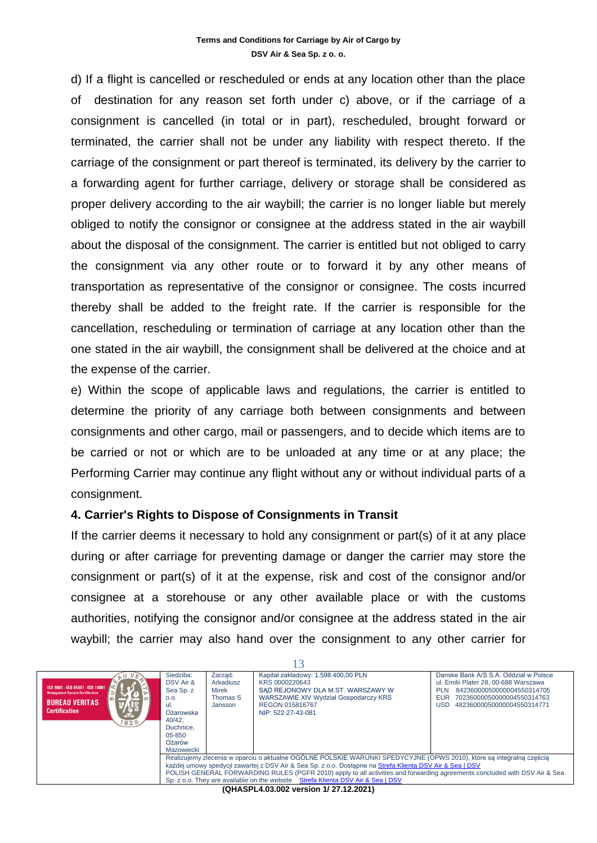d) If a flight is cancelled or rescheduled or ends at any location other than the place of destination for any reason set forth under c) above, or if the carriage of a consignment is cancelled (in total or in part), rescheduled, brought forward or terminated, the carrier shall not be under any liability with respect thereto. If the carriage of the consignment or part thereof is terminated, its delivery by the carrier to a forwarding agent for further carriage, delivery or storage shall be considered as proper delivery according to the air waybill; the carrier is no longer liable but merely obliged to notify the consignor or consignee at the address stated in the air waybill about the disposal of the consignment. The carrier is entitled but not obliged to carry the consignment via any other route or to forward it by any other means of transportation as representative of the consignor or consignee. The costs incurred thereby shall be added to the freight rate. If the carrier is responsible for the cancellation, rescheduling or termination of carriage at any location other than the one stated in the air waybill, the consignment shall be delivered at the choice and at the expense of the carrier.

e) Within the scope of applicable laws and regulations, the carrier is entitled to determine the priority of any carriage both between consignments and between consignments and other cargo, mail or passengers, and to decide which items are to be carried or not or which are to be unloaded at any time or at any place; the Performing Carrier may continue any flight without any or without individual parts of a consignment.

#### **4. Carrier's Rights to Dispose of Consignments in Transit**

If the carrier deems it necessary to hold any consignment or part(s) of it at any place during or after carriage for preventing damage or danger the carrier may store the consignment or part(s) of it at the expense, risk and cost of the consignor and/or consignee at a storehouse or any other available place or with the customs authorities, notifying the consignor and/or consignee at the address stated in the air waybill; the carrier may also hand over the consignment to any other carrier for

| ISO 9001 - ISO 45001 - ISO 14001<br><b>Management System Certification</b><br><b>BUREAU VERITAS</b><br><b>Certification</b><br><b>Ste</b><br>1828 | Siedziba:<br>DSV Air &<br>Sea Sp. z<br>0.0.<br>-ul.<br>Ożarowska<br>40/42.<br>Duchnice.<br>$05 - 850$<br>Ożarów<br>Mazowiecki                                                                                                                                                                                                                                                                                                                     | Zarzad:<br>Arkadiusz<br>Mirek<br>Thomas S<br>Jansson | Kapitał zakładowy: 1.598.400,00 PLN<br>KRS 0000220643<br>SAD REJONOWY DLA M.ST. WARSZAWY W<br>WARSZAWIE XIV Wydział Gospodarczy KRS<br>REGON 015816767<br>NIP: 522-27-43-081 | Danske Bank A/S S.A. Oddział w Polsce<br>ul. Emilii Plater 28, 00-688 Warszawa<br>84236000050000004550314705<br><b>PLN</b><br>70236000050000004550314763<br><b>FUR</b><br>I ISD<br>48236000050000004550314771 |  |  |
|---------------------------------------------------------------------------------------------------------------------------------------------------|---------------------------------------------------------------------------------------------------------------------------------------------------------------------------------------------------------------------------------------------------------------------------------------------------------------------------------------------------------------------------------------------------------------------------------------------------|------------------------------------------------------|------------------------------------------------------------------------------------------------------------------------------------------------------------------------------|---------------------------------------------------------------------------------------------------------------------------------------------------------------------------------------------------------------|--|--|
|                                                                                                                                                   | Realizujemy zlecenia w oparciu o aktualne OGÓLNE POLSKIE WARUNKI SPEDYCYJNE (OPWS 2010), które sa integralna cześcią<br>każdej umowy spedycji zawartej z DSV Air & Sea Sp. z o.o. Dostepne na Strefa Klienta DSV Air & Sea   DSV<br>POLISH GENERAL FORWARDING RULES (PGFR 2010) apply to all activities and forwarding agreements concluded with DSV Air & Sea<br>Sp. z o.o. They are available on the website Strefa Klienta DSV Air & Sea   DSV |                                                      |                                                                                                                                                                              |                                                                                                                                                                                                               |  |  |
|                                                                                                                                                   |                                                                                                                                                                                                                                                                                                                                                                                                                                                   |                                                      |                                                                                                                                                                              |                                                                                                                                                                                                               |  |  |

**(QHASPL4.03.002 version 1/ 27.12.2021)**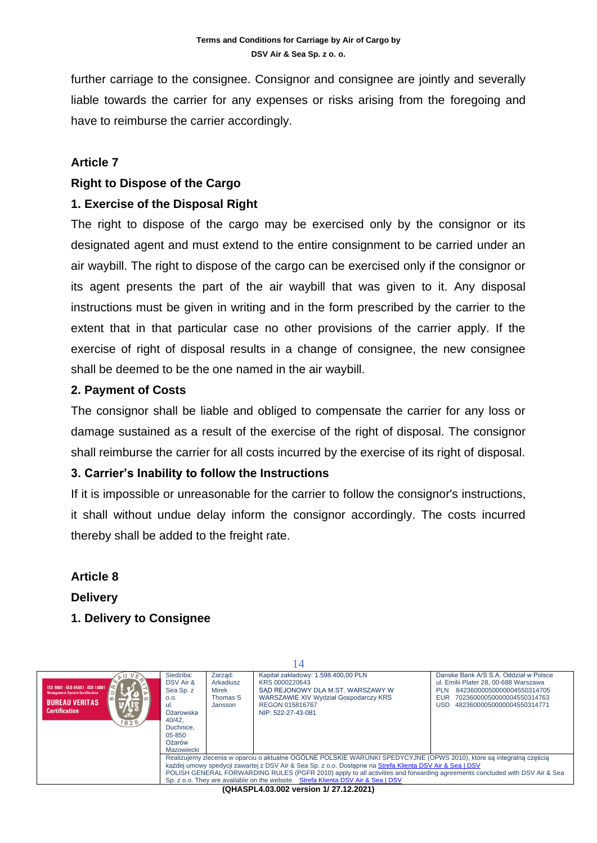further carriage to the consignee. Consignor and consignee are jointly and severally liable towards the carrier for any expenses or risks arising from the foregoing and have to reimburse the carrier accordingly.

# **Article 7**

#### **Right to Dispose of the Cargo**

#### **1. Exercise of the Disposal Right**

The right to dispose of the cargo may be exercised only by the consignor or its designated agent and must extend to the entire consignment to be carried under an air waybill. The right to dispose of the cargo can be exercised only if the consignor or its agent presents the part of the air waybill that was given to it. Any disposal instructions must be given in writing and in the form prescribed by the carrier to the extent that in that particular case no other provisions of the carrier apply. If the exercise of right of disposal results in a change of consignee, the new consignee shall be deemed to be the one named in the air waybill.

# **2. Payment of Costs**

The consignor shall be liable and obliged to compensate the carrier for any loss or damage sustained as a result of the exercise of the right of disposal. The consignor shall reimburse the carrier for all costs incurred by the exercise of its right of disposal.

# **3. Carrier's Inability to follow the Instructions**

If it is impossible or unreasonable for the carrier to follow the consignor's instructions, it shall without undue delay inform the consignor accordingly. The costs incurred thereby shall be added to the freight rate.

**Article 8 Delivery 1. Delivery to Consignee**

| 4                                                                                                                                               |                                                                                                                                                                                                                                                                                                                                                                                                                                                   |                                                      |                                                                                                                                                                              |                                                                                                                                                                                                      |  |  |
|-------------------------------------------------------------------------------------------------------------------------------------------------|---------------------------------------------------------------------------------------------------------------------------------------------------------------------------------------------------------------------------------------------------------------------------------------------------------------------------------------------------------------------------------------------------------------------------------------------------|------------------------------------------------------|------------------------------------------------------------------------------------------------------------------------------------------------------------------------------|------------------------------------------------------------------------------------------------------------------------------------------------------------------------------------------------------|--|--|
| ISO 9001 - ISO 45001 - ISO 14001<br><b>Management System Certification</b><br>$\omega$<br><b>BUREAU VERITAS</b><br><b>Certification</b><br>1828 | Siedziba:<br>DSV Air &<br>Sea Sp. z<br>O.O.<br>ul.<br>Ożarowska<br>40/42.<br>Duchnice.<br>$05 - 850$<br>Ożarów<br>Mazowiecki                                                                                                                                                                                                                                                                                                                      | Zarząd:<br>Arkadiusz<br>Mirek<br>Thomas S<br>Jansson | Kapitał zakładowy: 1.598.400,00 PLN<br>KRS 0000220643<br>SAD REJONOWY DLA M.ST. WARSZAWY W<br>WARSZAWIE XIV Wydział Gospodarczy KRS<br>REGON 015816767<br>NIP: 522-27-43-081 | Danske Bank A/S S.A. Oddział w Polsce<br>ul. Emilii Plater 28, 00-688 Warszawa<br>84236000050000004550314705<br><b>PLN</b><br>EUR<br>70236000050000004550314763<br>48236000050000004550314771<br>USD |  |  |
|                                                                                                                                                 | Realizujemy zlecenia w oparciu o aktualne OGÓLNE POLSKIE WARUNKI SPEDYCYJNE (OPWS 2010), które są integralną częścią<br>każdej umowy spedycji zawartej z DSV Air & Sea Sp. z o.o. Dostepne na Strefa Klienta DSV Air & Sea   DSV<br>POLISH GENERAL FORWARDING RULES (PGFR 2010) apply to all activities and forwarding agreements concluded with DSV Air & Sea<br>Sp. z o.o. They are available on the website Strefa Klienta DSV Air & Sea I DSV |                                                      |                                                                                                                                                                              |                                                                                                                                                                                                      |  |  |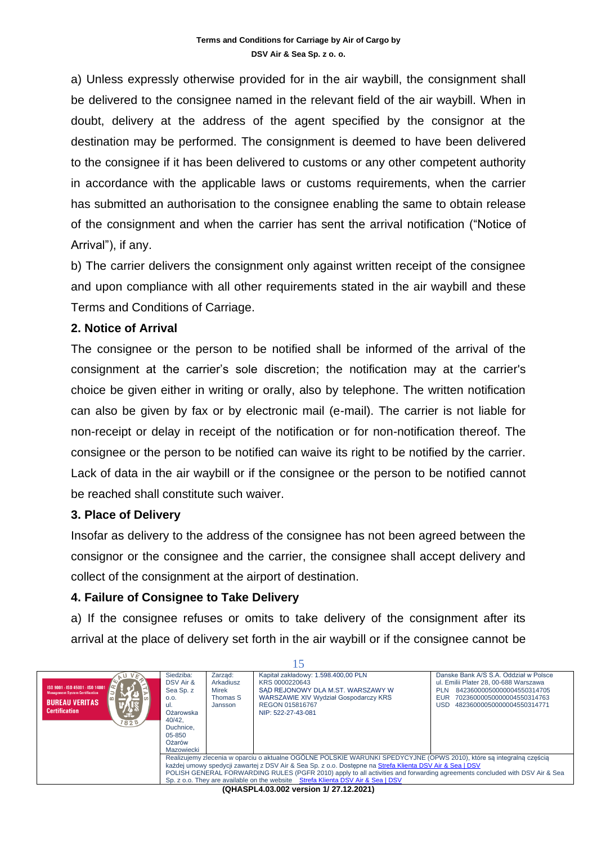a) Unless expressly otherwise provided for in the air waybill, the consignment shall be delivered to the consignee named in the relevant field of the air waybill. When in doubt, delivery at the address of the agent specified by the consignor at the destination may be performed. The consignment is deemed to have been delivered to the consignee if it has been delivered to customs or any other competent authority in accordance with the applicable laws or customs requirements, when the carrier has submitted an authorisation to the consignee enabling the same to obtain release of the consignment and when the carrier has sent the arrival notification ("Notice of Arrival"), if any.

b) The carrier delivers the consignment only against written receipt of the consignee and upon compliance with all other requirements stated in the air waybill and these Terms and Conditions of Carriage.

#### **2. Notice of Arrival**

The consignee or the person to be notified shall be informed of the arrival of the consignment at the carrier's sole discretion; the notification may at the carrier's choice be given either in writing or orally, also by telephone. The written notification can also be given by fax or by electronic mail (e-mail). The carrier is not liable for non-receipt or delay in receipt of the notification or for non-notification thereof. The consignee or the person to be notified can waive its right to be notified by the carrier. Lack of data in the air waybill or if the consignee or the person to be notified cannot be reached shall constitute such waiver.

#### **3. Place of Delivery**

Insofar as delivery to the address of the consignee has not been agreed between the consignor or the consignee and the carrier, the consignee shall accept delivery and collect of the consignment at the airport of destination.

#### **4. Failure of Consignee to Take Delivery**

a) If the consignee refuses or omits to take delivery of the consignment after its arrival at the place of delivery set forth in the air waybill or if the consignee cannot be

| ISO 9001 - ISO 45001 - ISO 14001<br><b>Management System Certification</b><br><b>BUREAU VERITAS</b><br><b>Certification</b><br>Jt.<br>1828 | Siedziba:<br>DSV Air &<br>Sea Sp. z<br>0.0.<br>Ożarowska<br>40/42.<br>Duchnice.<br>$05 - 850$<br>Ożarów<br>Mazowiecki                                                                                                                                                                                                                                                                                                                             | Zarzad:<br>Arkadiusz<br>Mirek<br>Thomas S<br>Jansson | Kapitał zakładowy: 1.598.400,00 PLN<br>KRS 0000220643<br>SAD REJONOWY DLA M.ST. WARSZAWY W<br>WARSZAWIE XIV Wydział Gospodarczy KRS<br>REGON 015816767<br>NIP: 522-27-43-081 | Danske Bank A/S S.A. Oddział w Polsce<br>ul. Emilii Plater 28, 00-688 Warszawa<br>84236000050000004550314705<br><b>PLN</b><br>70236000050000004550314763<br><b>EUR</b><br>48236000050000004550314771<br>USD. |  |  |
|--------------------------------------------------------------------------------------------------------------------------------------------|---------------------------------------------------------------------------------------------------------------------------------------------------------------------------------------------------------------------------------------------------------------------------------------------------------------------------------------------------------------------------------------------------------------------------------------------------|------------------------------------------------------|------------------------------------------------------------------------------------------------------------------------------------------------------------------------------|--------------------------------------------------------------------------------------------------------------------------------------------------------------------------------------------------------------|--|--|
|                                                                                                                                            | Realizujemy zlecenia w oparciu o aktualne OGÓLNE POLSKIE WARUNKI SPEDYCYJNE (OPWS 2010), które są integralną częścią<br>każdej umowy spedycji zawartej z DSV Air & Sea Sp. z o.o. Dostepne na Strefa Klienta DSV Air & Sea   DSV<br>POLISH GENERAL FORWARDING RULES (PGFR 2010) apply to all activities and forwarding agreements concluded with DSV Air & Sea<br>Sp. z o.o. They are available on the website Strefa Klienta DSV Air & Sea I DSV |                                                      |                                                                                                                                                                              |                                                                                                                                                                                                              |  |  |
| (QHASPL4.03.002 version 1/27.12.2021)                                                                                                      |                                                                                                                                                                                                                                                                                                                                                                                                                                                   |                                                      |                                                                                                                                                                              |                                                                                                                                                                                                              |  |  |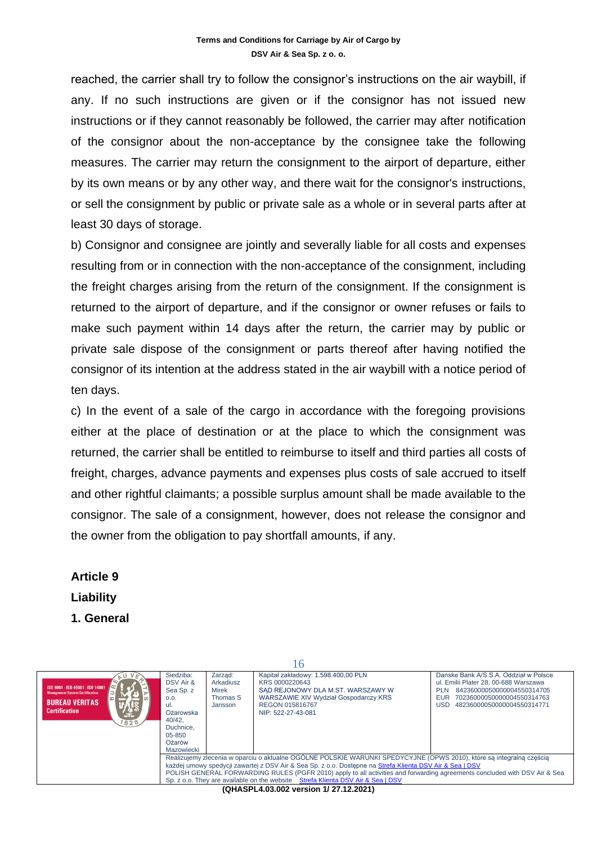reached, the carrier shall try to follow the consignor's instructions on the air waybill, if any. If no such instructions are given or if the consignor has not issued new instructions or if they cannot reasonably be followed, the carrier may after notification of the consignor about the non-acceptance by the consignee take the following measures. The carrier may return the consignment to the airport of departure, either by its own means or by any other way, and there wait for the consignor's instructions, or sell the consignment by public or private sale as a whole or in several parts after at least 30 days of storage.

b) Consignor and consignee are jointly and severally liable for all costs and expenses resulting from or in connection with the non-acceptance of the consignment, including the freight charges arising from the return of the consignment. If the consignment is returned to the airport of departure, and if the consignor or owner refuses or fails to make such payment within 14 days after the return, the carrier may by public or private sale dispose of the consignment or parts thereof after having notified the consignor of its intention at the address stated in the air waybill with a notice period of ten days.

c) In the event of a sale of the cargo in accordance with the foregoing provisions either at the place of destination or at the place to which the consignment was returned, the carrier shall be entitled to reimburse to itself and third parties all costs of freight, charges, advance payments and expenses plus costs of sale accrued to itself and other rightful claimants; a possible surplus amount shall be made available to the consignor. The sale of a consignment, however, does not release the consignor and the owner from the obligation to pay shortfall amounts, if any.

**Article 9 Liability 1. General**

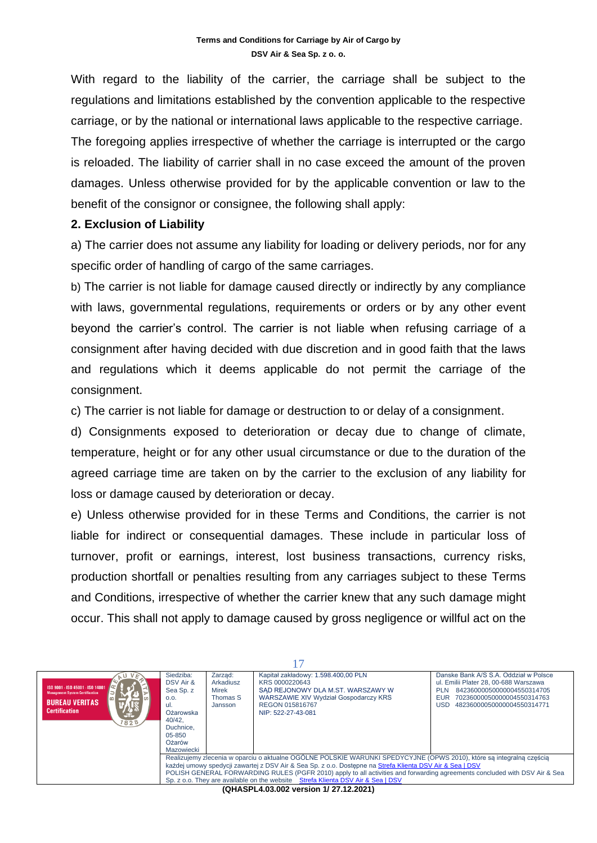With regard to the liability of the carrier, the carriage shall be subject to the regulations and limitations established by the convention applicable to the respective carriage, or by the national or international laws applicable to the respective carriage.

The foregoing applies irrespective of whether the carriage is interrupted or the cargo is reloaded. The liability of carrier shall in no case exceed the amount of the proven damages. Unless otherwise provided for by the applicable convention or law to the benefit of the consignor or consignee, the following shall apply:

#### **2. Exclusion of Liability**

a) The carrier does not assume any liability for loading or delivery periods, nor for any specific order of handling of cargo of the same carriages.

b) The carrier is not liable for damage caused directly or indirectly by any compliance with laws, governmental regulations, requirements or orders or by any other event beyond the carrier's control. The carrier is not liable when refusing carriage of a consignment after having decided with due discretion and in good faith that the laws and regulations which it deems applicable do not permit the carriage of the consignment.

c) The carrier is not liable for damage or destruction to or delay of a consignment.

d) Consignments exposed to deterioration or decay due to change of climate, temperature, height or for any other usual circumstance or due to the duration of the agreed carriage time are taken on by the carrier to the exclusion of any liability for loss or damage caused by deterioration or decay.

e) Unless otherwise provided for in these Terms and Conditions, the carrier is not liable for indirect or consequential damages. These include in particular loss of turnover, profit or earnings, interest, lost business transactions, currency risks, production shortfall or penalties resulting from any carriages subject to these Terms and Conditions, irrespective of whether the carrier knew that any such damage might occur. This shall not apply to damage caused by gross negligence or willful act on the

| ISO 9001 - ISO 45001 - ISO 14001<br><b>Management System Certification</b><br><b>BUREAU VERITAS</b><br><b>Certification</b><br>-t-<br>828                                                                                                                                                                                                                                                                                                         | Siedziba:<br>DSV Air &<br>Sea Sp. z<br>O.O.<br>-ul.<br>Ożarowska<br>40/42.<br>Duchnice.<br>$05 - 850$<br>Ożarów<br>Mazowiecki | Zarzad:<br>Arkadiusz<br>Mirek<br>Thomas S<br>Jansson | Kapitał zakładowy: 1.598.400,00 PLN<br>KRS 0000220643<br>SAD REJONOWY DLA M.ST. WARSZAWY W<br>WARSZAWIE XIV Wydział Gospodarczy KRS<br>REGON 015816767<br>NIP: 522-27-43-081 | Danske Bank A/S S.A. Oddział w Polsce<br>ul. Emilii Plater 28, 00-688 Warszawa<br>84236000050000004550314705<br><b>PLN</b><br><b>EUR</b><br>70236000050000004550314763<br><b>USD</b><br>48236000050000004550314771 |  |  |
|---------------------------------------------------------------------------------------------------------------------------------------------------------------------------------------------------------------------------------------------------------------------------------------------------------------------------------------------------------------------------------------------------------------------------------------------------|-------------------------------------------------------------------------------------------------------------------------------|------------------------------------------------------|------------------------------------------------------------------------------------------------------------------------------------------------------------------------------|--------------------------------------------------------------------------------------------------------------------------------------------------------------------------------------------------------------------|--|--|
| Realizujemy zlecenia w oparciu o aktualne OGÓLNE POLSKIE WARUNKI SPEDYCYJNE (OPWS 2010), które są integralną częścią<br>każdej umowy spedycji zawartej z DSV Air & Sea Sp. z o.o. Dostepne na Strefa Klienta DSV Air & Sea   DSV<br>POLISH GENERAL FORWARDING RULES (PGFR 2010) apply to all activities and forwarding agreements concluded with DSV Air & Sea<br>Sp. z o.o. They are available on the website Strefa Klienta DSV Air & Sea   DSV |                                                                                                                               |                                                      |                                                                                                                                                                              |                                                                                                                                                                                                                    |  |  |
| $(0.011888)$ And $(0.02188)$ is a set of $(0.0718)$                                                                                                                                                                                                                                                                                                                                                                                               |                                                                                                                               |                                                      |                                                                                                                                                                              |                                                                                                                                                                                                                    |  |  |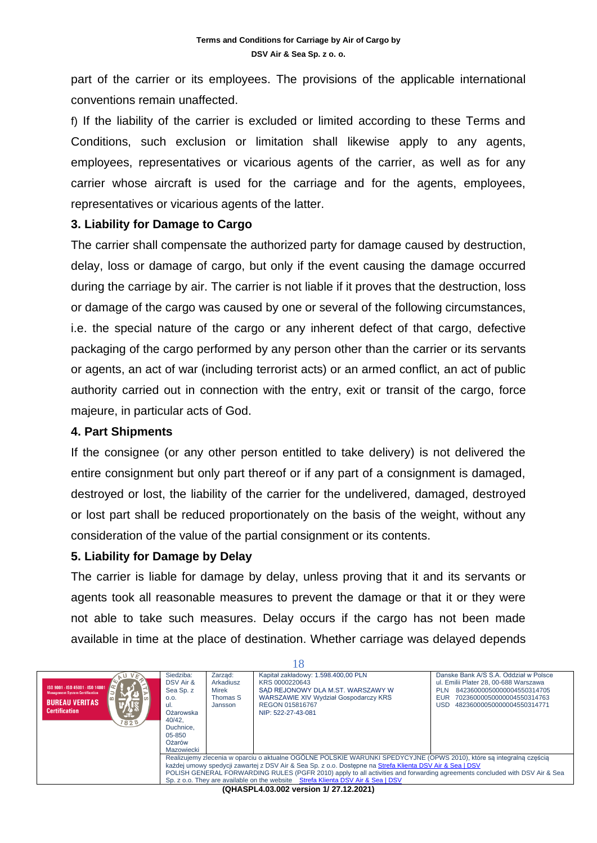part of the carrier or its employees. The provisions of the applicable international conventions remain unaffected.

f) If the liability of the carrier is excluded or limited according to these Terms and Conditions, such exclusion or limitation shall likewise apply to any agents, employees, representatives or vicarious agents of the carrier, as well as for any carrier whose aircraft is used for the carriage and for the agents, employees, representatives or vicarious agents of the latter.

#### **3. Liability for Damage to Cargo**

The carrier shall compensate the authorized party for damage caused by destruction, delay, loss or damage of cargo, but only if the event causing the damage occurred during the carriage by air. The carrier is not liable if it proves that the destruction, loss or damage of the cargo was caused by one or several of the following circumstances, i.e. the special nature of the cargo or any inherent defect of that cargo, defective packaging of the cargo performed by any person other than the carrier or its servants or agents, an act of war (including terrorist acts) or an armed conflict, an act of public authority carried out in connection with the entry, exit or transit of the cargo, force majeure, in particular acts of God.

#### **4. Part Shipments**

If the consignee (or any other person entitled to take delivery) is not delivered the entire consignment but only part thereof or if any part of a consignment is damaged, destroyed or lost, the liability of the carrier for the undelivered, damaged, destroyed or lost part shall be reduced proportionately on the basis of the weight, without any consideration of the value of the partial consignment or its contents.

#### **5. Liability for Damage by Delay**

The carrier is liable for damage by delay, unless proving that it and its servants or agents took all reasonable measures to prevent the damage or that it or they were not able to take such measures. Delay occurs if the cargo has not been made available in time at the place of destination. Whether carriage was delayed depends

| - 10                                                                                                                                        |                                                                                                                                                                                                                                                                                                                                                                                                                                                   |                                                      |                                                                                                                                                                                     |                                                                                                                                                                                                                    |  |  |
|---------------------------------------------------------------------------------------------------------------------------------------------|---------------------------------------------------------------------------------------------------------------------------------------------------------------------------------------------------------------------------------------------------------------------------------------------------------------------------------------------------------------------------------------------------------------------------------------------------|------------------------------------------------------|-------------------------------------------------------------------------------------------------------------------------------------------------------------------------------------|--------------------------------------------------------------------------------------------------------------------------------------------------------------------------------------------------------------------|--|--|
| ISO 9001 - ISO 45001 - ISO 14001<br><b>Management System Certification</b><br><b>BUREAU VERITAS</b><br><b>Certification</b><br>'ste<br>1828 | Siedziba:<br>DSV Air &<br>Sea Sp. z<br>0.0.<br>-ul.<br>Ożarowska<br>40/42.<br>Duchnice.<br>05-850<br>Ożarów<br>Mazowiecki                                                                                                                                                                                                                                                                                                                         | Zarzad:<br>Arkadiusz<br>Mirek<br>Thomas S<br>Jansson | Kapitał zakładowy: 1.598.400,00 PLN<br>KRS 0000220643<br>SAD REJONOWY DLA M.ST. WARSZAWY W<br><b>WARSZAWIE XIV Wydział Gospodarczy KRS</b><br>REGON 015816767<br>NIP: 522-27-43-081 | Danske Bank A/S S.A. Oddział w Polsce<br>ul. Emilii Plater 28, 00-688 Warszawa<br>84236000050000004550314705<br><b>PLN</b><br>70236000050000004550314763<br><b>EUR</b><br>48236000050000004550314771<br><b>USD</b> |  |  |
|                                                                                                                                             | Realizujemy zlecenia w oparciu o aktualne OGÓLNE POLSKIE WARUNKI SPEDYCYJNE (OPWS 2010), które są integralną częścią<br>każdej umowy spedycji zawartej z DSV Air & Sea Sp. z o.o. Dostepne na Strefa Klienta DSV Air & Sea   DSV<br>POLISH GENERAL FORWARDING RULES (PGFR 2010) apply to all activities and forwarding agreements concluded with DSV Air & Sea<br>Sp. z o.o. They are available on the website Strefa Klienta DSV Air & Sea I DSV |                                                      |                                                                                                                                                                                     |                                                                                                                                                                                                                    |  |  |
|                                                                                                                                             |                                                                                                                                                                                                                                                                                                                                                                                                                                                   |                                                      |                                                                                                                                                                                     |                                                                                                                                                                                                                    |  |  |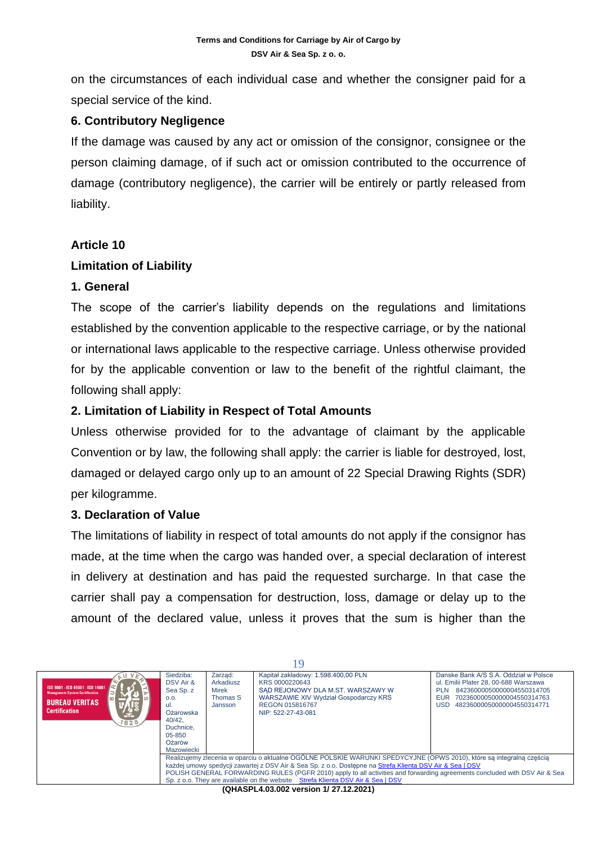on the circumstances of each individual case and whether the consigner paid for a special service of the kind.

# **6. Contributory Negligence**

If the damage was caused by any act or omission of the consignor, consignee or the person claiming damage, of if such act or omission contributed to the occurrence of damage (contributory negligence), the carrier will be entirely or partly released from liability.

#### **Article 10**

#### **Limitation of Liability**

#### **1. General**

The scope of the carrier's liability depends on the regulations and limitations established by the convention applicable to the respective carriage, or by the national or international laws applicable to the respective carriage. Unless otherwise provided for by the applicable convention or law to the benefit of the rightful claimant, the following shall apply:

# **2. Limitation of Liability in Respect of Total Amounts**

Unless otherwise provided for to the advantage of claimant by the applicable Convention or by law, the following shall apply: the carrier is liable for destroyed, lost, damaged or delayed cargo only up to an amount of 22 Special Drawing Rights (SDR) per kilogramme.

# **3. Declaration of Value**

The limitations of liability in respect of total amounts do not apply if the consignor has made, at the time when the cargo was handed over, a special declaration of interest in delivery at destination and has paid the requested surcharge. In that case the carrier shall pay a compensation for destruction, loss, damage or delay up to the amount of the declared value, unless it proves that the sum is higher than the

| ISO 9001 - ISO 45001 - ISO 14001<br><b>Management System Certification</b><br><b>BUREAU VERITAS</b><br><b>Certification</b><br>'ste<br>1828 | Siedziba:<br>DSV Air &<br>Sea Sp. z<br>0.0.<br>ul.<br>Ożarowska<br>40/42.<br>Duchnice.<br>$05 - 850$<br>Ożarów<br>Mazowiecki                                                                                                                                                                                                                                                                                                                      | Zarzad:<br>Arkadiusz<br>Mirek<br>Thomas S<br>Jansson | Kapitał zakładowy: 1.598.400,00 PLN<br>KRS 0000220643<br>SAD REJONOWY DLA M.ST. WARSZAWY W<br><b>WARSZAWIE XIV Wydział Gospodarczy KRS</b><br>REGON 015816767<br>NIP: 522-27-43-081 | Danske Bank A/S S.A. Oddział w Polsce<br>ul. Emilii Plater 28, 00-688 Warszawa<br>84236000050000004550314705<br><b>PLN</b><br>EUR<br>70236000050000004550314763<br>48236000050000004550314771<br>USD |  |  |
|---------------------------------------------------------------------------------------------------------------------------------------------|---------------------------------------------------------------------------------------------------------------------------------------------------------------------------------------------------------------------------------------------------------------------------------------------------------------------------------------------------------------------------------------------------------------------------------------------------|------------------------------------------------------|-------------------------------------------------------------------------------------------------------------------------------------------------------------------------------------|------------------------------------------------------------------------------------------------------------------------------------------------------------------------------------------------------|--|--|
|                                                                                                                                             | Realizujemy zlecenia w oparciu o aktualne OGÓLNE POLSKIE WARUNKI SPEDYCYJNE (OPWS 2010), które są integralną częścią<br>każdej umowy spedycji zawartej z DSV Air & Sea Sp. z o.o. Dostepne na Strefa Klienta DSV Air & Sea   DSV<br>POLISH GENERAL FORWARDING RULES (PGFR 2010) apply to all activities and forwarding agreements concluded with DSV Air & Sea<br>Sp. z o.o. They are available on the website Strefa Klienta DSV Air & Sea I DSV |                                                      |                                                                                                                                                                                     |                                                                                                                                                                                                      |  |  |
|                                                                                                                                             |                                                                                                                                                                                                                                                                                                                                                                                                                                                   |                                                      | $(0.11A \cap D1 \cup 0.00 \cap 0.001)$                                                                                                                                              |                                                                                                                                                                                                      |  |  |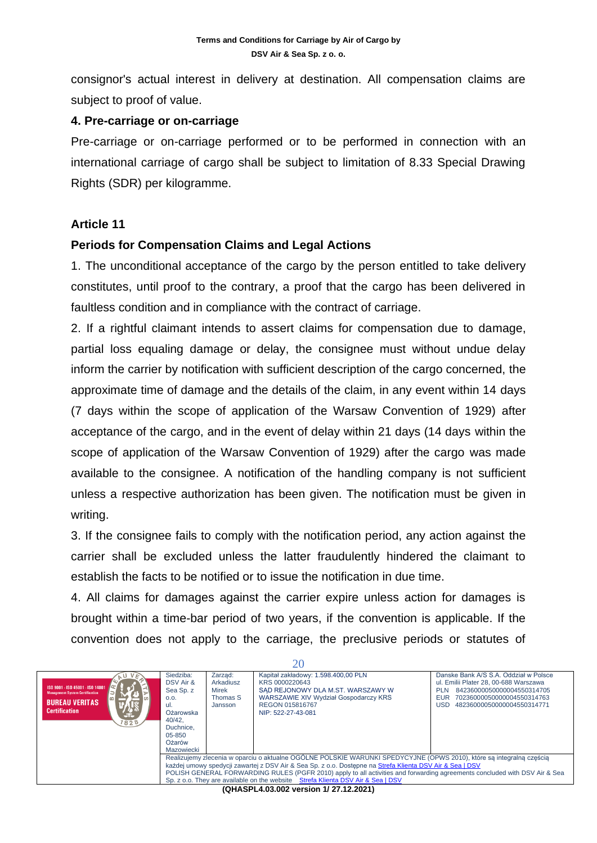consignor's actual interest in delivery at destination. All compensation claims are subject to proof of value.

#### **4. Pre-carriage or on-carriage**

Pre-carriage or on-carriage performed or to be performed in connection with an international carriage of cargo shall be subject to limitation of 8.33 Special Drawing Rights (SDR) per kilogramme.

# **Article 11**

# **Periods for Compensation Claims and Legal Actions**

1. The unconditional acceptance of the cargo by the person entitled to take delivery constitutes, until proof to the contrary, a proof that the cargo has been delivered in faultless condition and in compliance with the contract of carriage.

2. If a rightful claimant intends to assert claims for compensation due to damage, partial loss equaling damage or delay, the consignee must without undue delay inform the carrier by notification with sufficient description of the cargo concerned, the approximate time of damage and the details of the claim, in any event within 14 days (7 days within the scope of application of the Warsaw Convention of 1929) after acceptance of the cargo, and in the event of delay within 21 days (14 days within the scope of application of the Warsaw Convention of 1929) after the cargo was made available to the consignee. A notification of the handling company is not sufficient unless a respective authorization has been given. The notification must be given in writing.

3. If the consignee fails to comply with the notification period, any action against the carrier shall be excluded unless the latter fraudulently hindered the claimant to establish the facts to be notified or to issue the notification in due time.

4. All claims for damages against the carrier expire unless action for damages is brought within a time-bar period of two years, if the convention is applicable. If the convention does not apply to the carriage, the preclusive periods or statutes of

| 20                                                                                                                                  |                                                                                                                                                                                                                                  |                                                      |                                                                                                                                                                              |                                                                                                                                                                                                             |  |  |
|-------------------------------------------------------------------------------------------------------------------------------------|----------------------------------------------------------------------------------------------------------------------------------------------------------------------------------------------------------------------------------|------------------------------------------------------|------------------------------------------------------------------------------------------------------------------------------------------------------------------------------|-------------------------------------------------------------------------------------------------------------------------------------------------------------------------------------------------------------|--|--|
| ISO 9001 - ISO 45001 - ISO 14001<br><b>Management System Certification</b><br><b>BUREAU VERITAS</b><br><b>Certification</b><br>1828 | Siedziba:<br>DSV Air &<br>Sea Sp. z<br>0.0.<br>ul.<br>Ożarowska<br>40/42.<br>Duchnice.<br>05-850<br>Ożarów<br>Mazowiecki                                                                                                         | Zarzad:<br>Arkadiusz<br>Mirek<br>Thomas S<br>Jansson | Kapitał zakładowy: 1.598.400,00 PLN<br>KRS 0000220643<br>SAD REJONOWY DLA M.ST. WARSZAWY W<br>WARSZAWIE XIV Wydział Gospodarczy KRS<br>REGON 015816767<br>NIP: 522-27-43-081 | Danske Bank A/S S.A. Oddział w Polsce<br>ul. Emilii Plater 28, 00-688 Warszawa<br>84236000050000004550314705<br><b>PLN</b><br>70236000050000004550314763<br>EUR<br>48236000050000004550314771<br><b>USD</b> |  |  |
|                                                                                                                                     | Realizujemy zlecenia w oparciu o aktualne OGÓLNE POLSKIE WARUNKI SPEDYCYJNE (OPWS 2010), które sa integralna cześcia<br>każdej umowy spedycji zawartej z DSV Air & Sea Sp. z o.o. Dostepne na Strefa Klienta DSV Air & Sea   DSV |                                                      |                                                                                                                                                                              |                                                                                                                                                                                                             |  |  |
|                                                                                                                                     | POLISH GENERAL FORWARDING RULES (PGFR 2010) apply to all activities and forwarding agreements concluded with DSV Air & Sea                                                                                                       |                                                      |                                                                                                                                                                              |                                                                                                                                                                                                             |  |  |
|                                                                                                                                     |                                                                                                                                                                                                                                  |                                                      | Sp. z o.o. They are available on the website Strefa Klienta DSV Air & Sea I DSV                                                                                              |                                                                                                                                                                                                             |  |  |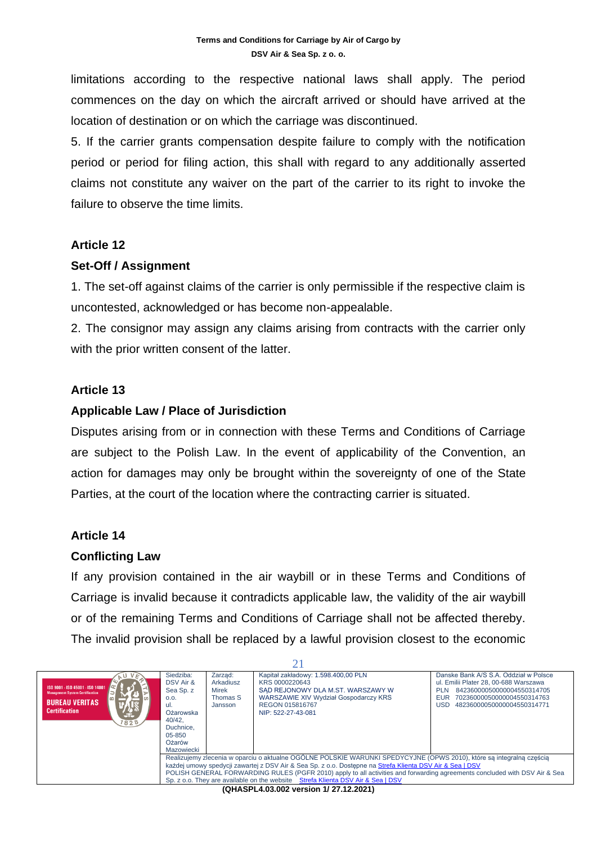limitations according to the respective national laws shall apply. The period commences on the day on which the aircraft arrived or should have arrived at the location of destination or on which the carriage was discontinued.

5. If the carrier grants compensation despite failure to comply with the notification period or period for filing action, this shall with regard to any additionally asserted claims not constitute any waiver on the part of the carrier to its right to invoke the failure to observe the time limits.

#### **Article 12**

#### **Set-Off / Assignment**

1. The set-off against claims of the carrier is only permissible if the respective claim is uncontested, acknowledged or has become non-appealable.

2. The consignor may assign any claims arising from contracts with the carrier only with the prior written consent of the latter.

# **Article 13**

# **Applicable Law / Place of Jurisdiction**

Disputes arising from or in connection with these Terms and Conditions of Carriage are subject to the Polish Law. In the event of applicability of the Convention, an action for damages may only be brought within the sovereignty of one of the State Parties, at the court of the location where the contracting carrier is situated.

# **Article 14**

# **Conflicting Law**

If any provision contained in the air waybill or in these Terms and Conditions of Carriage is invalid because it contradicts applicable law, the validity of the air waybill or of the remaining Terms and Conditions of Carriage shall not be affected thereby. The invalid provision shall be replaced by a lawful provision closest to the economic

| ISO 9001 - ISO 45001 - ISO 14001<br><b>Management System Certification</b><br><b>BUREAU VERITAS</b><br><b>Certification</b><br>GE.<br>1828 | Siedziba:<br>DSV Air &<br>Sea Sp. z<br>0.0.<br>ul.<br>Ożarowska<br>40/42.<br>Duchnice.<br>05-850<br>Ożarów<br>Mazowiecki                                                                                                                                                                                                                                                                                                                          | Zarzad:<br>Arkadiusz<br>Mirek<br>Thomas S<br>Jansson | Kapitał zakładowy: 1.598.400,00 PLN<br>KRS 0000220643<br>SAD REJONOWY DLA M.ST. WARSZAWY W<br><b>WARSZAWIE XIV Wydział Gospodarczy KRS</b><br>REGON 015816767<br>NIP: 522-27-43-081 | Danske Bank A/S S.A. Oddział w Polsce<br>ul. Emilii Plater 28, 00-688 Warszawa<br>84236000050000004550314705<br><b>PLN</b><br>70236000050000004550314763<br><b>EUR</b><br>USD<br>48236000050000004550314771 |  |  |
|--------------------------------------------------------------------------------------------------------------------------------------------|---------------------------------------------------------------------------------------------------------------------------------------------------------------------------------------------------------------------------------------------------------------------------------------------------------------------------------------------------------------------------------------------------------------------------------------------------|------------------------------------------------------|-------------------------------------------------------------------------------------------------------------------------------------------------------------------------------------|-------------------------------------------------------------------------------------------------------------------------------------------------------------------------------------------------------------|--|--|
|                                                                                                                                            | Realizujemy zlecenia w oparciu o aktualne OGÓLNE POLSKIE WARUNKI SPEDYCYJNE (OPWS 2010), które sa integralna cześcia<br>każdej umowy spedycji zawartej z DSV Air & Sea Sp. z o.o. Dostepne na Strefa Klienta DSV Air & Sea   DSV<br>POLISH GENERAL FORWARDING RULES (PGFR 2010) apply to all activities and forwarding agreements concluded with DSV Air & Sea<br>Sp. z o.o. They are available on the website Strefa Klienta DSV Air & Sea I DSV |                                                      |                                                                                                                                                                                     |                                                                                                                                                                                                             |  |  |
|                                                                                                                                            |                                                                                                                                                                                                                                                                                                                                                                                                                                                   |                                                      |                                                                                                                                                                                     |                                                                                                                                                                                                             |  |  |